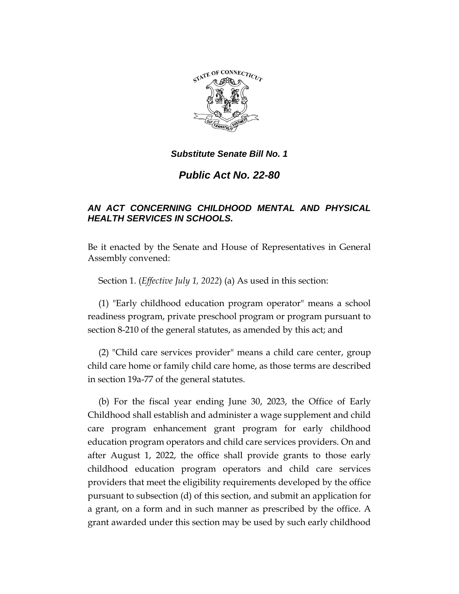

*Public Act No. 22-80*

# *AN ACT CONCERNING CHILDHOOD MENTAL AND PHYSICAL HEALTH SERVICES IN SCHOOLS.*

Be it enacted by the Senate and House of Representatives in General Assembly convened:

Section 1. (*Effective July 1, 2022*) (a) As used in this section:

(1) "Early childhood education program operator" means a school readiness program, private preschool program or program pursuant to section 8-210 of the general statutes, as amended by this act; and

(2) "Child care services provider" means a child care center, group child care home or family child care home, as those terms are described in section 19a-77 of the general statutes.

(b) For the fiscal year ending June 30, 2023, the Office of Early Childhood shall establish and administer a wage supplement and child care program enhancement grant program for early childhood education program operators and child care services providers. On and after August 1, 2022, the office shall provide grants to those early childhood education program operators and child care services providers that meet the eligibility requirements developed by the office pursuant to subsection (d) of this section, and submit an application for a grant, on a form and in such manner as prescribed by the office. A grant awarded under this section may be used by such early childhood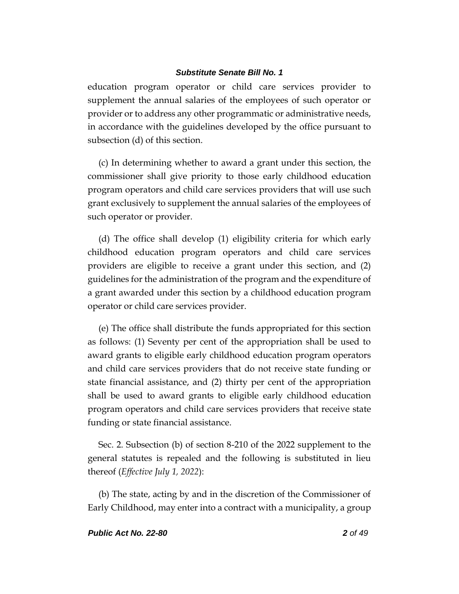education program operator or child care services provider to supplement the annual salaries of the employees of such operator or provider or to address any other programmatic or administrative needs, in accordance with the guidelines developed by the office pursuant to subsection (d) of this section.

(c) In determining whether to award a grant under this section, the commissioner shall give priority to those early childhood education program operators and child care services providers that will use such grant exclusively to supplement the annual salaries of the employees of such operator or provider.

(d) The office shall develop (1) eligibility criteria for which early childhood education program operators and child care services providers are eligible to receive a grant under this section, and (2) guidelines for the administration of the program and the expenditure of a grant awarded under this section by a childhood education program operator or child care services provider.

(e) The office shall distribute the funds appropriated for this section as follows: (1) Seventy per cent of the appropriation shall be used to award grants to eligible early childhood education program operators and child care services providers that do not receive state funding or state financial assistance, and (2) thirty per cent of the appropriation shall be used to award grants to eligible early childhood education program operators and child care services providers that receive state funding or state financial assistance.

Sec. 2. Subsection (b) of section 8-210 of the 2022 supplement to the general statutes is repealed and the following is substituted in lieu thereof (*Effective July 1, 2022*):

(b) The state, acting by and in the discretion of the Commissioner of Early Childhood, may enter into a contract with a municipality, a group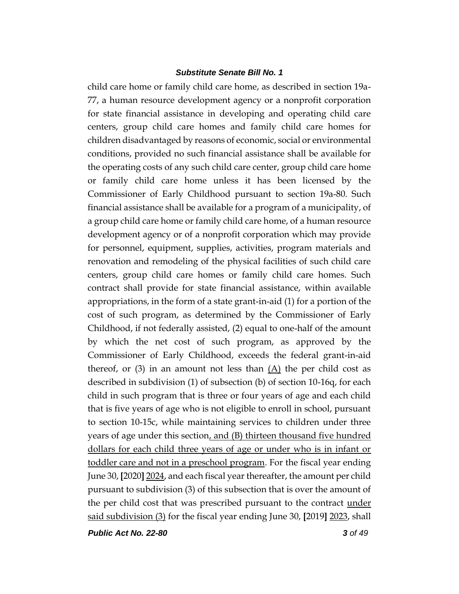child care home or family child care home, as described in section 19a-77, a human resource development agency or a nonprofit corporation for state financial assistance in developing and operating child care centers, group child care homes and family child care homes for children disadvantaged by reasons of economic, social or environmental conditions, provided no such financial assistance shall be available for the operating costs of any such child care center, group child care home or family child care home unless it has been licensed by the Commissioner of Early Childhood pursuant to section 19a-80. Such financial assistance shall be available for a program of a municipality, of a group child care home or family child care home, of a human resource development agency or of a nonprofit corporation which may provide for personnel, equipment, supplies, activities, program materials and renovation and remodeling of the physical facilities of such child care centers, group child care homes or family child care homes. Such contract shall provide for state financial assistance, within available appropriations, in the form of a state grant-in-aid (1) for a portion of the cost of such program, as determined by the Commissioner of Early Childhood, if not federally assisted, (2) equal to one-half of the amount by which the net cost of such program, as approved by the Commissioner of Early Childhood, exceeds the federal grant-in-aid thereof, or (3) in an amount not less than  $(A)$  the per child cost as described in subdivision (1) of subsection (b) of section 10-16q, for each child in such program that is three or four years of age and each child that is five years of age who is not eligible to enroll in school, pursuant to section 10-15c, while maintaining services to children under three years of age under this section, and (B) thirteen thousand five hundred dollars for each child three years of age or under who is in infant or toddler care and not in a preschool program. For the fiscal year ending June 30, **[**2020**]** 2024, and each fiscal year thereafter, the amount per child pursuant to subdivision (3) of this subsection that is over the amount of the per child cost that was prescribed pursuant to the contract <u>under</u> said subdivision (3) for the fiscal year ending June 30, **[**2019**]** 2023, shall

*Public Act No. 22-80 3 of 49*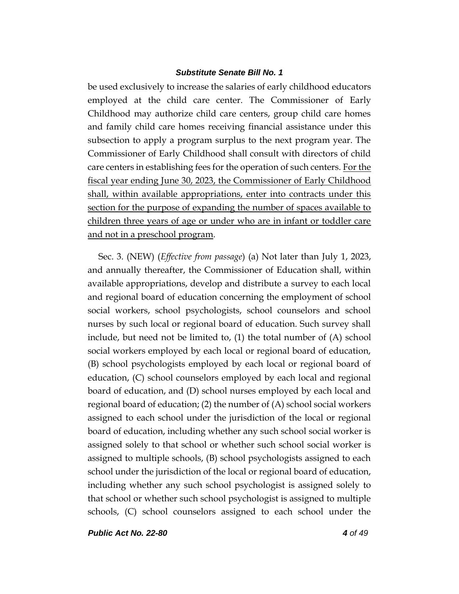be used exclusively to increase the salaries of early childhood educators employed at the child care center. The Commissioner of Early Childhood may authorize child care centers, group child care homes and family child care homes receiving financial assistance under this subsection to apply a program surplus to the next program year. The Commissioner of Early Childhood shall consult with directors of child care centers in establishing fees for the operation of such centers. For the fiscal year ending June 30, 2023, the Commissioner of Early Childhood shall, within available appropriations, enter into contracts under this section for the purpose of expanding the number of spaces available to children three years of age or under who are in infant or toddler care and not in a preschool program.

Sec. 3. (NEW) (*Effective from passage*) (a) Not later than July 1, 2023, and annually thereafter, the Commissioner of Education shall, within available appropriations, develop and distribute a survey to each local and regional board of education concerning the employment of school social workers, school psychologists, school counselors and school nurses by such local or regional board of education. Such survey shall include, but need not be limited to, (1) the total number of (A) school social workers employed by each local or regional board of education, (B) school psychologists employed by each local or regional board of education, (C) school counselors employed by each local and regional board of education, and (D) school nurses employed by each local and regional board of education; (2) the number of (A) school social workers assigned to each school under the jurisdiction of the local or regional board of education, including whether any such school social worker is assigned solely to that school or whether such school social worker is assigned to multiple schools, (B) school psychologists assigned to each school under the jurisdiction of the local or regional board of education, including whether any such school psychologist is assigned solely to that school or whether such school psychologist is assigned to multiple schools, (C) school counselors assigned to each school under the

*Public Act No. 22-80 4 of 49*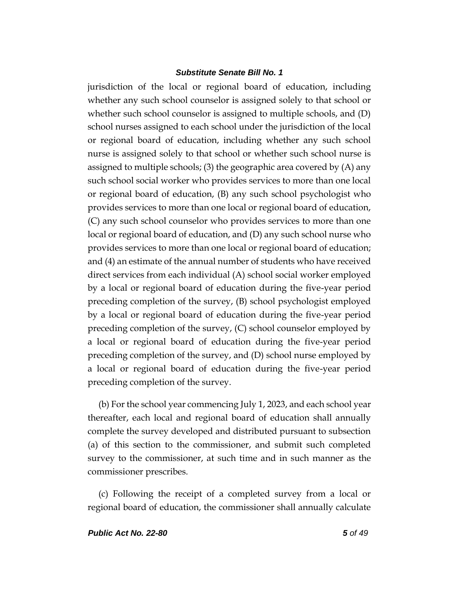jurisdiction of the local or regional board of education, including whether any such school counselor is assigned solely to that school or whether such school counselor is assigned to multiple schools, and (D) school nurses assigned to each school under the jurisdiction of the local or regional board of education, including whether any such school nurse is assigned solely to that school or whether such school nurse is assigned to multiple schools; (3) the geographic area covered by (A) any such school social worker who provides services to more than one local or regional board of education, (B) any such school psychologist who provides services to more than one local or regional board of education, (C) any such school counselor who provides services to more than one local or regional board of education, and (D) any such school nurse who provides services to more than one local or regional board of education; and (4) an estimate of the annual number of students who have received direct services from each individual (A) school social worker employed by a local or regional board of education during the five-year period preceding completion of the survey, (B) school psychologist employed by a local or regional board of education during the five-year period preceding completion of the survey, (C) school counselor employed by a local or regional board of education during the five-year period preceding completion of the survey, and (D) school nurse employed by a local or regional board of education during the five-year period preceding completion of the survey.

(b) For the school year commencing July 1, 2023, and each school year thereafter, each local and regional board of education shall annually complete the survey developed and distributed pursuant to subsection (a) of this section to the commissioner, and submit such completed survey to the commissioner, at such time and in such manner as the commissioner prescribes.

(c) Following the receipt of a completed survey from a local or regional board of education, the commissioner shall annually calculate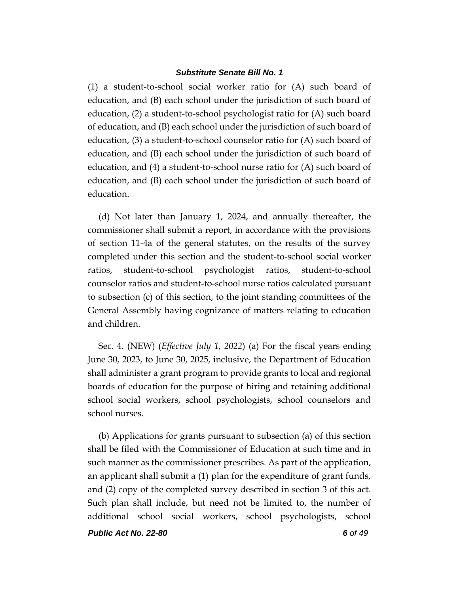(1) a student-to-school social worker ratio for (A) such board of education, and (B) each school under the jurisdiction of such board of education, (2) a student-to-school psychologist ratio for (A) such board of education, and (B) each school under the jurisdiction of such board of education, (3) a student-to-school counselor ratio for (A) such board of education, and (B) each school under the jurisdiction of such board of education, and (4) a student-to-school nurse ratio for (A) such board of education, and (B) each school under the jurisdiction of such board of education.

(d) Not later than January 1, 2024, and annually thereafter, the commissioner shall submit a report, in accordance with the provisions of section 11-4a of the general statutes, on the results of the survey completed under this section and the student-to-school social worker ratios, student-to-school psychologist ratios, student-to-school counselor ratios and student-to-school nurse ratios calculated pursuant to subsection (c) of this section, to the joint standing committees of the General Assembly having cognizance of matters relating to education and children.

Sec. 4. (NEW) (*Effective July 1, 2022*) (a) For the fiscal years ending June 30, 2023, to June 30, 2025, inclusive, the Department of Education shall administer a grant program to provide grants to local and regional boards of education for the purpose of hiring and retaining additional school social workers, school psychologists, school counselors and school nurses.

(b) Applications for grants pursuant to subsection (a) of this section shall be filed with the Commissioner of Education at such time and in such manner as the commissioner prescribes. As part of the application, an applicant shall submit a (1) plan for the expenditure of grant funds, and (2) copy of the completed survey described in section 3 of this act. Such plan shall include, but need not be limited to, the number of additional school social workers, school psychologists, school

*Public Act No. 22-80 6 of 49*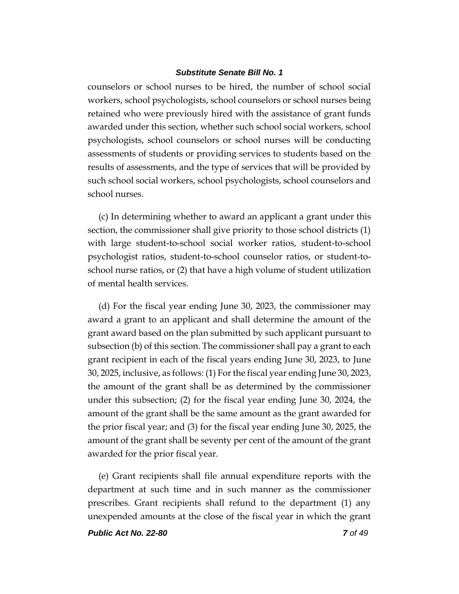counselors or school nurses to be hired, the number of school social workers, school psychologists, school counselors or school nurses being retained who were previously hired with the assistance of grant funds awarded under this section, whether such school social workers, school psychologists, school counselors or school nurses will be conducting assessments of students or providing services to students based on the results of assessments, and the type of services that will be provided by such school social workers, school psychologists, school counselors and school nurses.

(c) In determining whether to award an applicant a grant under this section, the commissioner shall give priority to those school districts (1) with large student-to-school social worker ratios, student-to-school psychologist ratios, student-to-school counselor ratios, or student-toschool nurse ratios, or (2) that have a high volume of student utilization of mental health services.

(d) For the fiscal year ending June 30, 2023, the commissioner may award a grant to an applicant and shall determine the amount of the grant award based on the plan submitted by such applicant pursuant to subsection (b) of this section. The commissioner shall pay a grant to each grant recipient in each of the fiscal years ending June 30, 2023, to June 30, 2025, inclusive, as follows: (1) For the fiscal year ending June 30, 2023, the amount of the grant shall be as determined by the commissioner under this subsection; (2) for the fiscal year ending June 30, 2024, the amount of the grant shall be the same amount as the grant awarded for the prior fiscal year; and (3) for the fiscal year ending June 30, 2025, the amount of the grant shall be seventy per cent of the amount of the grant awarded for the prior fiscal year.

(e) Grant recipients shall file annual expenditure reports with the department at such time and in such manner as the commissioner prescribes. Grant recipients shall refund to the department (1) any unexpended amounts at the close of the fiscal year in which the grant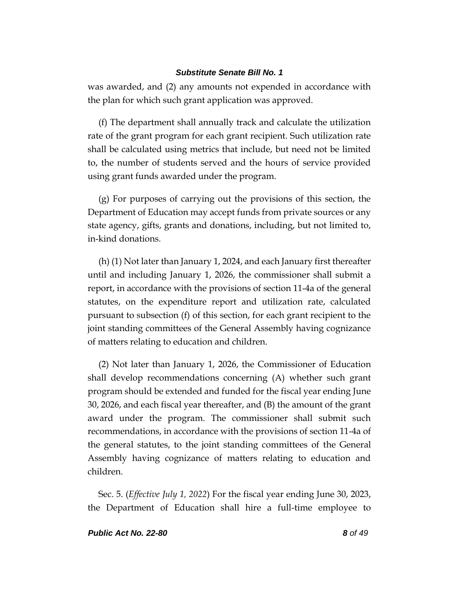was awarded, and (2) any amounts not expended in accordance with the plan for which such grant application was approved.

(f) The department shall annually track and calculate the utilization rate of the grant program for each grant recipient. Such utilization rate shall be calculated using metrics that include, but need not be limited to, the number of students served and the hours of service provided using grant funds awarded under the program.

(g) For purposes of carrying out the provisions of this section, the Department of Education may accept funds from private sources or any state agency, gifts, grants and donations, including, but not limited to, in-kind donations.

(h) (1) Not later than January 1, 2024, and each January first thereafter until and including January 1, 2026, the commissioner shall submit a report, in accordance with the provisions of section 11-4a of the general statutes, on the expenditure report and utilization rate, calculated pursuant to subsection (f) of this section, for each grant recipient to the joint standing committees of the General Assembly having cognizance of matters relating to education and children.

(2) Not later than January 1, 2026, the Commissioner of Education shall develop recommendations concerning (A) whether such grant program should be extended and funded for the fiscal year ending June 30, 2026, and each fiscal year thereafter, and (B) the amount of the grant award under the program. The commissioner shall submit such recommendations, in accordance with the provisions of section 11-4a of the general statutes, to the joint standing committees of the General Assembly having cognizance of matters relating to education and children.

Sec. 5. (*Effective July 1, 2022*) For the fiscal year ending June 30, 2023, the Department of Education shall hire a full-time employee to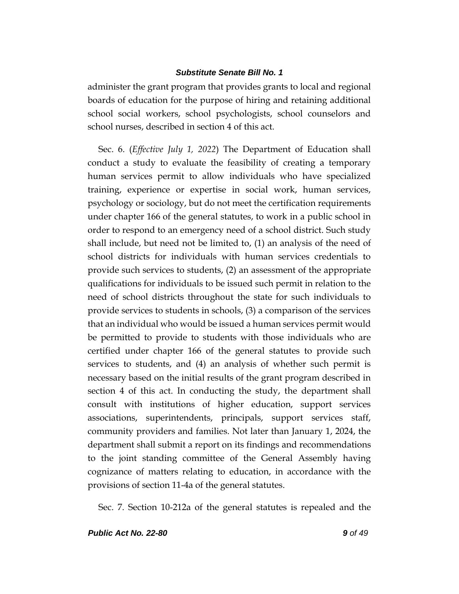administer the grant program that provides grants to local and regional boards of education for the purpose of hiring and retaining additional school social workers, school psychologists, school counselors and school nurses, described in section 4 of this act.

Sec. 6. (*Effective July 1, 2022*) The Department of Education shall conduct a study to evaluate the feasibility of creating a temporary human services permit to allow individuals who have specialized training, experience or expertise in social work, human services, psychology or sociology, but do not meet the certification requirements under chapter 166 of the general statutes, to work in a public school in order to respond to an emergency need of a school district. Such study shall include, but need not be limited to, (1) an analysis of the need of school districts for individuals with human services credentials to provide such services to students, (2) an assessment of the appropriate qualifications for individuals to be issued such permit in relation to the need of school districts throughout the state for such individuals to provide services to students in schools, (3) a comparison of the services that an individual who would be issued a human services permit would be permitted to provide to students with those individuals who are certified under chapter 166 of the general statutes to provide such services to students, and (4) an analysis of whether such permit is necessary based on the initial results of the grant program described in section 4 of this act. In conducting the study, the department shall consult with institutions of higher education, support services associations, superintendents, principals, support services staff, community providers and families. Not later than January 1, 2024, the department shall submit a report on its findings and recommendations to the joint standing committee of the General Assembly having cognizance of matters relating to education, in accordance with the provisions of section 11-4a of the general statutes.

Sec. 7. Section 10-212a of the general statutes is repealed and the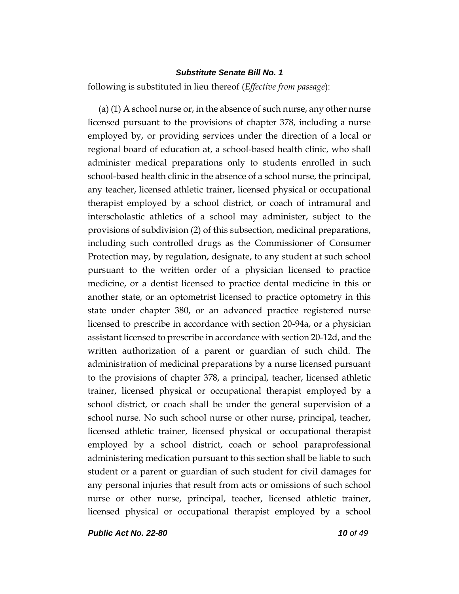following is substituted in lieu thereof (*Effective from passage*):

(a) (1) A school nurse or, in the absence of such nurse, any other nurse licensed pursuant to the provisions of chapter 378, including a nurse employed by, or providing services under the direction of a local or regional board of education at, a school-based health clinic, who shall administer medical preparations only to students enrolled in such school-based health clinic in the absence of a school nurse, the principal, any teacher, licensed athletic trainer, licensed physical or occupational therapist employed by a school district, or coach of intramural and interscholastic athletics of a school may administer, subject to the provisions of subdivision (2) of this subsection, medicinal preparations, including such controlled drugs as the Commissioner of Consumer Protection may, by regulation, designate, to any student at such school pursuant to the written order of a physician licensed to practice medicine, or a dentist licensed to practice dental medicine in this or another state, or an optometrist licensed to practice optometry in this state under chapter 380, or an advanced practice registered nurse licensed to prescribe in accordance with section 20-94a, or a physician assistant licensed to prescribe in accordance with section 20-12d, and the written authorization of a parent or guardian of such child. The administration of medicinal preparations by a nurse licensed pursuant to the provisions of chapter 378, a principal, teacher, licensed athletic trainer, licensed physical or occupational therapist employed by a school district, or coach shall be under the general supervision of a school nurse. No such school nurse or other nurse, principal, teacher, licensed athletic trainer, licensed physical or occupational therapist employed by a school district, coach or school paraprofessional administering medication pursuant to this section shall be liable to such student or a parent or guardian of such student for civil damages for any personal injuries that result from acts or omissions of such school nurse or other nurse, principal, teacher, licensed athletic trainer, licensed physical or occupational therapist employed by a school

*Public Act No. 22-80 10 of 49*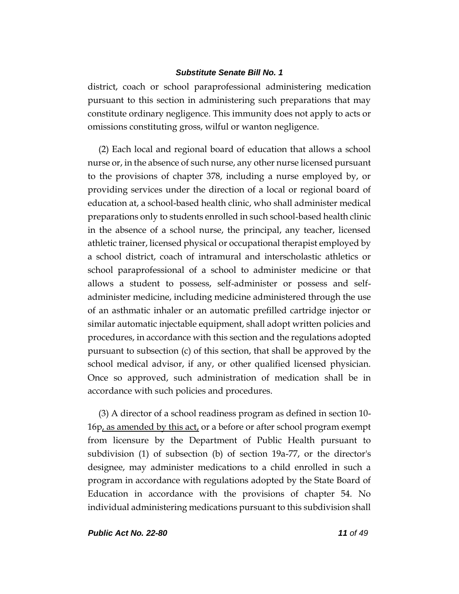district, coach or school paraprofessional administering medication pursuant to this section in administering such preparations that may constitute ordinary negligence. This immunity does not apply to acts or omissions constituting gross, wilful or wanton negligence.

(2) Each local and regional board of education that allows a school nurse or, in the absence of such nurse, any other nurse licensed pursuant to the provisions of chapter 378, including a nurse employed by, or providing services under the direction of a local or regional board of education at, a school-based health clinic, who shall administer medical preparations only to students enrolled in such school-based health clinic in the absence of a school nurse, the principal, any teacher, licensed athletic trainer, licensed physical or occupational therapist employed by a school district, coach of intramural and interscholastic athletics or school paraprofessional of a school to administer medicine or that allows a student to possess, self-administer or possess and selfadminister medicine, including medicine administered through the use of an asthmatic inhaler or an automatic prefilled cartridge injector or similar automatic injectable equipment, shall adopt written policies and procedures, in accordance with this section and the regulations adopted pursuant to subsection (c) of this section, that shall be approved by the school medical advisor, if any, or other qualified licensed physician. Once so approved, such administration of medication shall be in accordance with such policies and procedures.

(3) A director of a school readiness program as defined in section 10- 16p, as amended by this act, or a before or after school program exempt from licensure by the Department of Public Health pursuant to subdivision (1) of subsection (b) of section 19a-77, or the director's designee, may administer medications to a child enrolled in such a program in accordance with regulations adopted by the State Board of Education in accordance with the provisions of chapter 54. No individual administering medications pursuant to this subdivision shall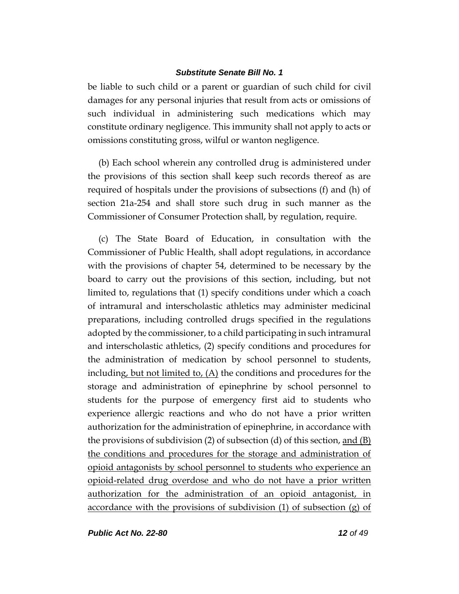be liable to such child or a parent or guardian of such child for civil damages for any personal injuries that result from acts or omissions of such individual in administering such medications which may constitute ordinary negligence. This immunity shall not apply to acts or omissions constituting gross, wilful or wanton negligence.

(b) Each school wherein any controlled drug is administered under the provisions of this section shall keep such records thereof as are required of hospitals under the provisions of subsections (f) and (h) of section 21a-254 and shall store such drug in such manner as the Commissioner of Consumer Protection shall, by regulation, require.

(c) The State Board of Education, in consultation with the Commissioner of Public Health, shall adopt regulations, in accordance with the provisions of chapter 54, determined to be necessary by the board to carry out the provisions of this section, including, but not limited to, regulations that (1) specify conditions under which a coach of intramural and interscholastic athletics may administer medicinal preparations, including controlled drugs specified in the regulations adopted by the commissioner, to a child participating in such intramural and interscholastic athletics, (2) specify conditions and procedures for the administration of medication by school personnel to students, including, but not limited to,  $(A)$  the conditions and procedures for the storage and administration of epinephrine by school personnel to students for the purpose of emergency first aid to students who experience allergic reactions and who do not have a prior written authorization for the administration of epinephrine, in accordance with the provisions of subdivision (2) of subsection (d) of this section, and  $(B)$ the conditions and procedures for the storage and administration of opioid antagonists by school personnel to students who experience an opioid-related drug overdose and who do not have a prior written authorization for the administration of an opioid antagonist, in accordance with the provisions of subdivision (1) of subsection (g) of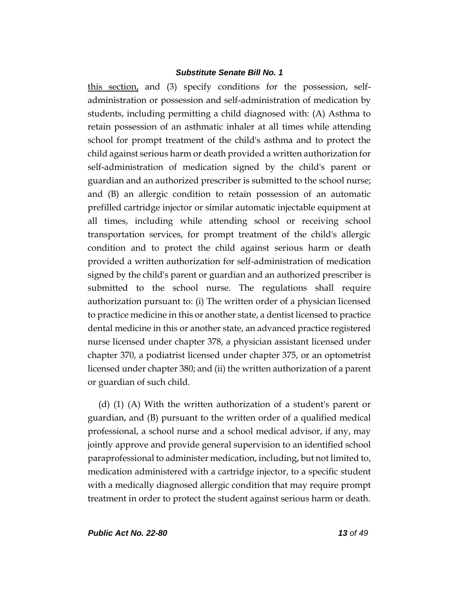this section, and (3) specify conditions for the possession, selfadministration or possession and self-administration of medication by students, including permitting a child diagnosed with: (A) Asthma to retain possession of an asthmatic inhaler at all times while attending school for prompt treatment of the child's asthma and to protect the child against serious harm or death provided a written authorization for self-administration of medication signed by the child's parent or guardian and an authorized prescriber is submitted to the school nurse; and (B) an allergic condition to retain possession of an automatic prefilled cartridge injector or similar automatic injectable equipment at all times, including while attending school or receiving school transportation services, for prompt treatment of the child's allergic condition and to protect the child against serious harm or death provided a written authorization for self-administration of medication signed by the child's parent or guardian and an authorized prescriber is submitted to the school nurse. The regulations shall require authorization pursuant to: (i) The written order of a physician licensed to practice medicine in this or another state, a dentist licensed to practice dental medicine in this or another state, an advanced practice registered nurse licensed under chapter 378, a physician assistant licensed under chapter 370, a podiatrist licensed under chapter 375, or an optometrist licensed under chapter 380; and (ii) the written authorization of a parent or guardian of such child.

(d) (1) (A) With the written authorization of a student's parent or guardian, and (B) pursuant to the written order of a qualified medical professional, a school nurse and a school medical advisor, if any, may jointly approve and provide general supervision to an identified school paraprofessional to administer medication, including, but not limited to, medication administered with a cartridge injector, to a specific student with a medically diagnosed allergic condition that may require prompt treatment in order to protect the student against serious harm or death.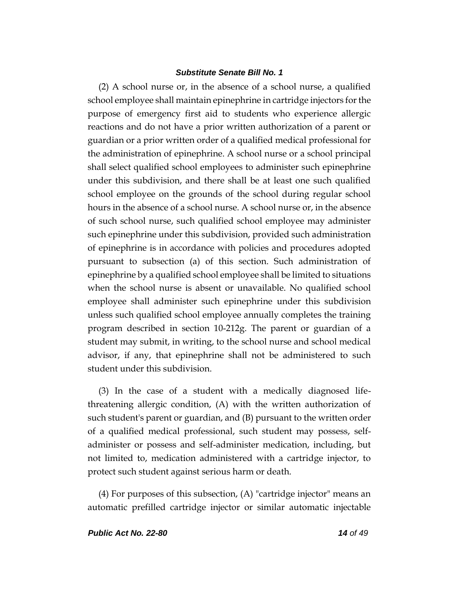(2) A school nurse or, in the absence of a school nurse, a qualified school employee shall maintain epinephrine in cartridge injectors for the purpose of emergency first aid to students who experience allergic reactions and do not have a prior written authorization of a parent or guardian or a prior written order of a qualified medical professional for the administration of epinephrine. A school nurse or a school principal shall select qualified school employees to administer such epinephrine under this subdivision, and there shall be at least one such qualified school employee on the grounds of the school during regular school hours in the absence of a school nurse. A school nurse or, in the absence of such school nurse, such qualified school employee may administer such epinephrine under this subdivision, provided such administration of epinephrine is in accordance with policies and procedures adopted pursuant to subsection (a) of this section. Such administration of epinephrine by a qualified school employee shall be limited to situations when the school nurse is absent or unavailable. No qualified school employee shall administer such epinephrine under this subdivision unless such qualified school employee annually completes the training program described in section 10-212g. The parent or guardian of a student may submit, in writing, to the school nurse and school medical advisor, if any, that epinephrine shall not be administered to such student under this subdivision.

(3) In the case of a student with a medically diagnosed lifethreatening allergic condition, (A) with the written authorization of such student's parent or guardian, and (B) pursuant to the written order of a qualified medical professional, such student may possess, selfadminister or possess and self-administer medication, including, but not limited to, medication administered with a cartridge injector, to protect such student against serious harm or death.

(4) For purposes of this subsection, (A) "cartridge injector" means an automatic prefilled cartridge injector or similar automatic injectable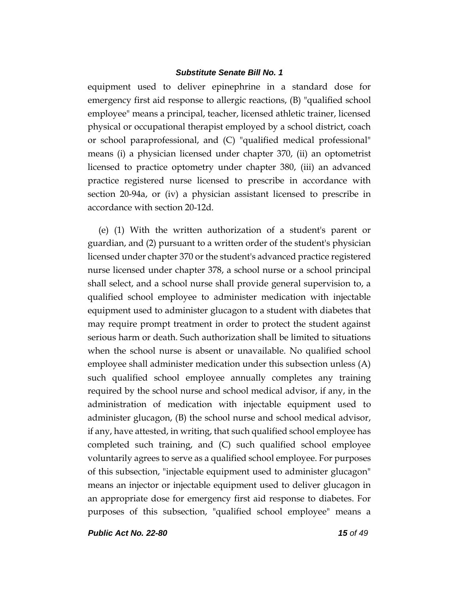equipment used to deliver epinephrine in a standard dose for emergency first aid response to allergic reactions, (B) "qualified school employee" means a principal, teacher, licensed athletic trainer, licensed physical or occupational therapist employed by a school district, coach or school paraprofessional, and (C) "qualified medical professional" means (i) a physician licensed under chapter 370, (ii) an optometrist licensed to practice optometry under chapter 380, (iii) an advanced practice registered nurse licensed to prescribe in accordance with section 20-94a, or (iv) a physician assistant licensed to prescribe in accordance with section 20-12d.

(e) (1) With the written authorization of a student's parent or guardian, and (2) pursuant to a written order of the student's physician licensed under chapter 370 or the student's advanced practice registered nurse licensed under chapter 378, a school nurse or a school principal shall select, and a school nurse shall provide general supervision to, a qualified school employee to administer medication with injectable equipment used to administer glucagon to a student with diabetes that may require prompt treatment in order to protect the student against serious harm or death. Such authorization shall be limited to situations when the school nurse is absent or unavailable. No qualified school employee shall administer medication under this subsection unless (A) such qualified school employee annually completes any training required by the school nurse and school medical advisor, if any, in the administration of medication with injectable equipment used to administer glucagon, (B) the school nurse and school medical advisor, if any, have attested, in writing, that such qualified school employee has completed such training, and (C) such qualified school employee voluntarily agrees to serve as a qualified school employee. For purposes of this subsection, "injectable equipment used to administer glucagon" means an injector or injectable equipment used to deliver glucagon in an appropriate dose for emergency first aid response to diabetes. For purposes of this subsection, "qualified school employee" means a

*Public Act No. 22-80 15 of 49*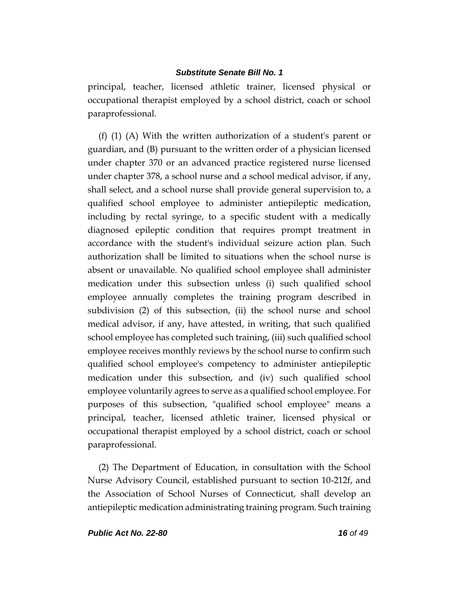principal, teacher, licensed athletic trainer, licensed physical or occupational therapist employed by a school district, coach or school paraprofessional.

(f) (1) (A) With the written authorization of a student's parent or guardian, and (B) pursuant to the written order of a physician licensed under chapter 370 or an advanced practice registered nurse licensed under chapter 378, a school nurse and a school medical advisor, if any, shall select, and a school nurse shall provide general supervision to, a qualified school employee to administer antiepileptic medication, including by rectal syringe, to a specific student with a medically diagnosed epileptic condition that requires prompt treatment in accordance with the student's individual seizure action plan. Such authorization shall be limited to situations when the school nurse is absent or unavailable. No qualified school employee shall administer medication under this subsection unless (i) such qualified school employee annually completes the training program described in subdivision (2) of this subsection, (ii) the school nurse and school medical advisor, if any, have attested, in writing, that such qualified school employee has completed such training, (iii) such qualified school employee receives monthly reviews by the school nurse to confirm such qualified school employee's competency to administer antiepileptic medication under this subsection, and (iv) such qualified school employee voluntarily agrees to serve as a qualified school employee. For purposes of this subsection, "qualified school employee" means a principal, teacher, licensed athletic trainer, licensed physical or occupational therapist employed by a school district, coach or school paraprofessional.

(2) The Department of Education, in consultation with the School Nurse Advisory Council, established pursuant to section 10-212f, and the Association of School Nurses of Connecticut, shall develop an antiepileptic medication administrating training program. Such training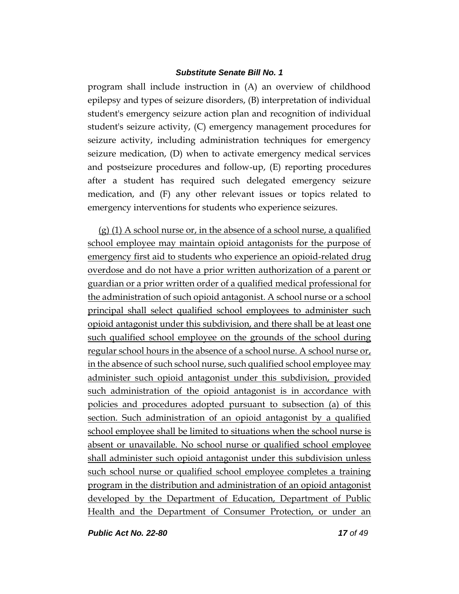program shall include instruction in (A) an overview of childhood epilepsy and types of seizure disorders, (B) interpretation of individual student's emergency seizure action plan and recognition of individual student's seizure activity, (C) emergency management procedures for seizure activity, including administration techniques for emergency seizure medication, (D) when to activate emergency medical services and postseizure procedures and follow-up, (E) reporting procedures after a student has required such delegated emergency seizure medication, and (F) any other relevant issues or topics related to emergency interventions for students who experience seizures.

(g) (1) A school nurse or, in the absence of a school nurse, a qualified school employee may maintain opioid antagonists for the purpose of emergency first aid to students who experience an opioid-related drug overdose and do not have a prior written authorization of a parent or guardian or a prior written order of a qualified medical professional for the administration of such opioid antagonist. A school nurse or a school principal shall select qualified school employees to administer such opioid antagonist under this subdivision, and there shall be at least one such qualified school employee on the grounds of the school during regular school hours in the absence of a school nurse. A school nurse or, in the absence of such school nurse, such qualified school employee may administer such opioid antagonist under this subdivision, provided such administration of the opioid antagonist is in accordance with policies and procedures adopted pursuant to subsection (a) of this section. Such administration of an opioid antagonist by a qualified school employee shall be limited to situations when the school nurse is absent or unavailable. No school nurse or qualified school employee shall administer such opioid antagonist under this subdivision unless such school nurse or qualified school employee completes a training program in the distribution and administration of an opioid antagonist developed by the Department of Education, Department of Public Health and the Department of Consumer Protection, or under an

*Public Act No. 22-80 17 of 49*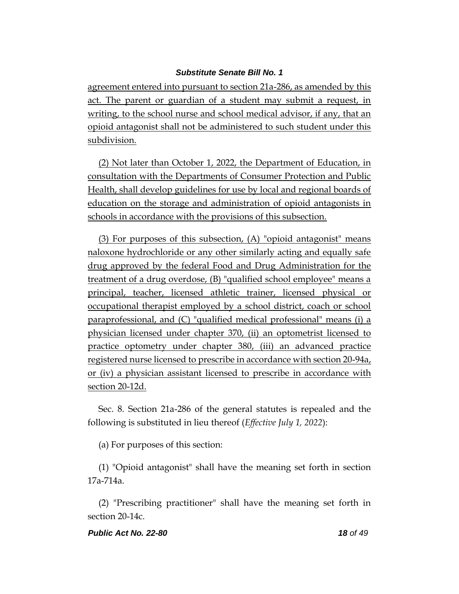agreement entered into pursuant to section 21a-286, as amended by this act. The parent or guardian of a student may submit a request, in writing, to the school nurse and school medical advisor, if any, that an opioid antagonist shall not be administered to such student under this subdivision.

(2) Not later than October 1, 2022, the Department of Education, in consultation with the Departments of Consumer Protection and Public Health, shall develop guidelines for use by local and regional boards of education on the storage and administration of opioid antagonists in schools in accordance with the provisions of this subsection.

(3) For purposes of this subsection, (A) "opioid antagonist" means naloxone hydrochloride or any other similarly acting and equally safe drug approved by the federal Food and Drug Administration for the treatment of a drug overdose, (B) "qualified school employee" means a principal, teacher, licensed athletic trainer, licensed physical or occupational therapist employed by a school district, coach or school paraprofessional, and (C) "qualified medical professional" means (i) a physician licensed under chapter 370, (ii) an optometrist licensed to practice optometry under chapter 380, (iii) an advanced practice registered nurse licensed to prescribe in accordance with section 20-94a, or (iv) a physician assistant licensed to prescribe in accordance with section 20-12d.

Sec. 8. Section 21a-286 of the general statutes is repealed and the following is substituted in lieu thereof (*Effective July 1, 2022*):

(a) For purposes of this section:

(1) "Opioid antagonist" shall have the meaning set forth in section 17a-714a.

(2) "Prescribing practitioner" shall have the meaning set forth in section 20-14c.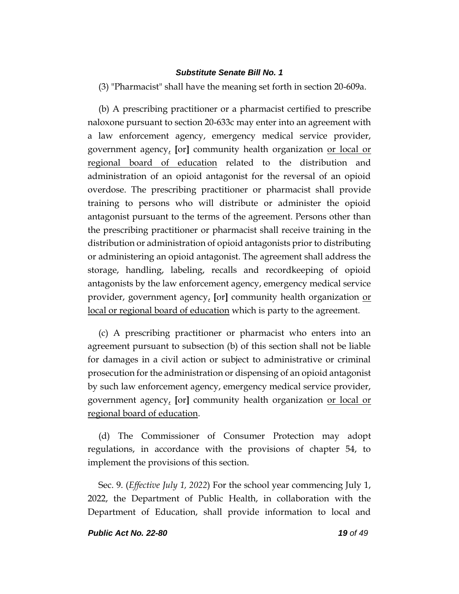(3) "Pharmacist" shall have the meaning set forth in section 20-609a.

(b) A prescribing practitioner or a pharmacist certified to prescribe naloxone pursuant to section 20-633c may enter into an agreement with a law enforcement agency, emergency medical service provider, government agency, **[**or**]** community health organization or local or regional board of education related to the distribution and administration of an opioid antagonist for the reversal of an opioid overdose. The prescribing practitioner or pharmacist shall provide training to persons who will distribute or administer the opioid antagonist pursuant to the terms of the agreement. Persons other than the prescribing practitioner or pharmacist shall receive training in the distribution or administration of opioid antagonists prior to distributing or administering an opioid antagonist. The agreement shall address the storage, handling, labeling, recalls and recordkeeping of opioid antagonists by the law enforcement agency, emergency medical service provider, government agency, **[**or**]** community health organization or local or regional board of education which is party to the agreement.

(c) A prescribing practitioner or pharmacist who enters into an agreement pursuant to subsection (b) of this section shall not be liable for damages in a civil action or subject to administrative or criminal prosecution for the administration or dispensing of an opioid antagonist by such law enforcement agency, emergency medical service provider, government agency, **[**or**]** community health organization or local or regional board of education.

(d) The Commissioner of Consumer Protection may adopt regulations, in accordance with the provisions of chapter 54, to implement the provisions of this section.

Sec. 9. (*Effective July 1, 2022*) For the school year commencing July 1, 2022, the Department of Public Health, in collaboration with the Department of Education, shall provide information to local and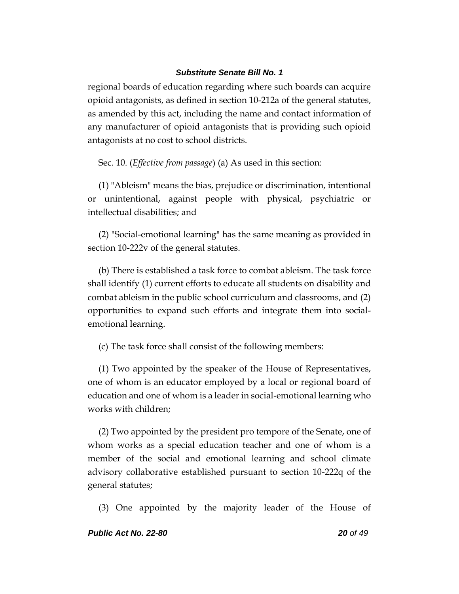regional boards of education regarding where such boards can acquire opioid antagonists, as defined in section 10-212a of the general statutes, as amended by this act, including the name and contact information of any manufacturer of opioid antagonists that is providing such opioid antagonists at no cost to school districts.

Sec. 10. (*Effective from passage*) (a) As used in this section:

(1) "Ableism" means the bias, prejudice or discrimination, intentional or unintentional, against people with physical, psychiatric or intellectual disabilities; and

(2) "Social-emotional learning" has the same meaning as provided in section 10-222v of the general statutes.

(b) There is established a task force to combat ableism. The task force shall identify (1) current efforts to educate all students on disability and combat ableism in the public school curriculum and classrooms, and (2) opportunities to expand such efforts and integrate them into socialemotional learning.

(c) The task force shall consist of the following members:

(1) Two appointed by the speaker of the House of Representatives, one of whom is an educator employed by a local or regional board of education and one of whom is a leader in social-emotional learning who works with children;

(2) Two appointed by the president pro tempore of the Senate, one of whom works as a special education teacher and one of whom is a member of the social and emotional learning and school climate advisory collaborative established pursuant to section 10-222q of the general statutes;

(3) One appointed by the majority leader of the House of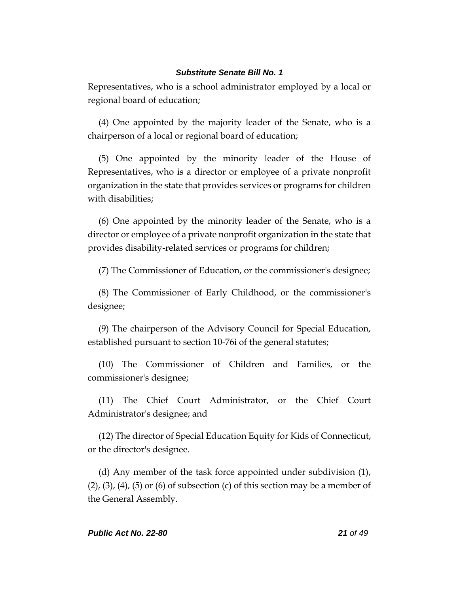Representatives, who is a school administrator employed by a local or regional board of education;

(4) One appointed by the majority leader of the Senate, who is a chairperson of a local or regional board of education;

(5) One appointed by the minority leader of the House of Representatives, who is a director or employee of a private nonprofit organization in the state that provides services or programs for children with disabilities;

(6) One appointed by the minority leader of the Senate, who is a director or employee of a private nonprofit organization in the state that provides disability-related services or programs for children;

(7) The Commissioner of Education, or the commissioner's designee;

(8) The Commissioner of Early Childhood, or the commissioner's designee;

(9) The chairperson of the Advisory Council for Special Education, established pursuant to section 10-76i of the general statutes;

(10) The Commissioner of Children and Families, or the commissioner's designee;

(11) The Chief Court Administrator, or the Chief Court Administrator's designee; and

(12) The director of Special Education Equity for Kids of Connecticut, or the director's designee.

(d) Any member of the task force appointed under subdivision (1),  $(2)$ ,  $(3)$ ,  $(4)$ ,  $(5)$  or  $(6)$  of subsection  $(c)$  of this section may be a member of the General Assembly.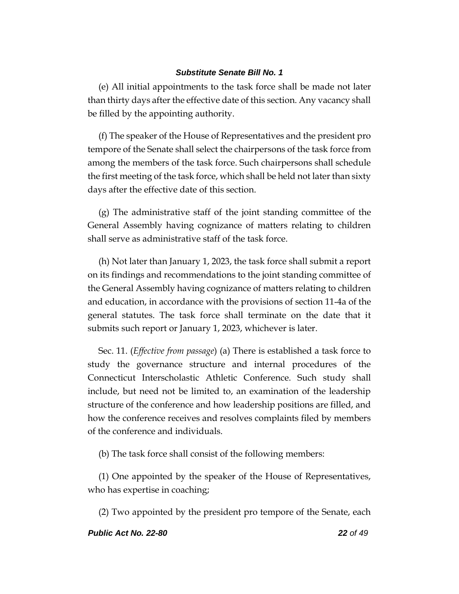(e) All initial appointments to the task force shall be made not later than thirty days after the effective date of this section. Any vacancy shall be filled by the appointing authority.

(f) The speaker of the House of Representatives and the president pro tempore of the Senate shall select the chairpersons of the task force from among the members of the task force. Such chairpersons shall schedule the first meeting of the task force, which shall be held not later than sixty days after the effective date of this section.

(g) The administrative staff of the joint standing committee of the General Assembly having cognizance of matters relating to children shall serve as administrative staff of the task force.

(h) Not later than January 1, 2023, the task force shall submit a report on its findings and recommendations to the joint standing committee of the General Assembly having cognizance of matters relating to children and education, in accordance with the provisions of section 11-4a of the general statutes. The task force shall terminate on the date that it submits such report or January 1, 2023, whichever is later.

Sec. 11. (*Effective from passage*) (a) There is established a task force to study the governance structure and internal procedures of the Connecticut Interscholastic Athletic Conference. Such study shall include, but need not be limited to, an examination of the leadership structure of the conference and how leadership positions are filled, and how the conference receives and resolves complaints filed by members of the conference and individuals.

(b) The task force shall consist of the following members:

(1) One appointed by the speaker of the House of Representatives, who has expertise in coaching;

(2) Two appointed by the president pro tempore of the Senate, each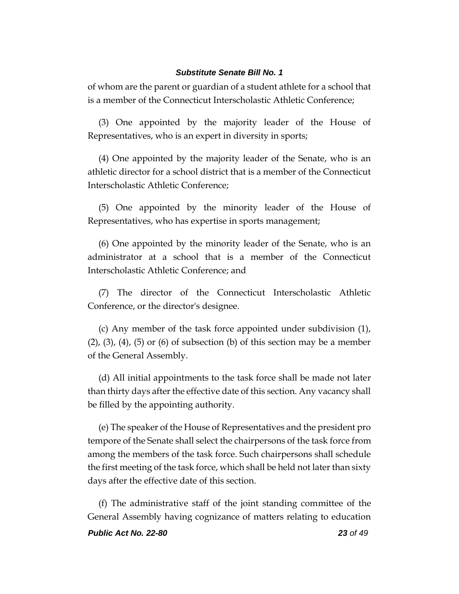of whom are the parent or guardian of a student athlete for a school that is a member of the Connecticut Interscholastic Athletic Conference;

(3) One appointed by the majority leader of the House of Representatives, who is an expert in diversity in sports;

(4) One appointed by the majority leader of the Senate, who is an athletic director for a school district that is a member of the Connecticut Interscholastic Athletic Conference;

(5) One appointed by the minority leader of the House of Representatives, who has expertise in sports management;

(6) One appointed by the minority leader of the Senate, who is an administrator at a school that is a member of the Connecticut Interscholastic Athletic Conference; and

(7) The director of the Connecticut Interscholastic Athletic Conference, or the director's designee.

(c) Any member of the task force appointed under subdivision (1),  $(2)$ ,  $(3)$ ,  $(4)$ ,  $(5)$  or  $(6)$  of subsection  $(b)$  of this section may be a member of the General Assembly.

(d) All initial appointments to the task force shall be made not later than thirty days after the effective date of this section. Any vacancy shall be filled by the appointing authority.

(e) The speaker of the House of Representatives and the president pro tempore of the Senate shall select the chairpersons of the task force from among the members of the task force. Such chairpersons shall schedule the first meeting of the task force, which shall be held not later than sixty days after the effective date of this section.

(f) The administrative staff of the joint standing committee of the General Assembly having cognizance of matters relating to education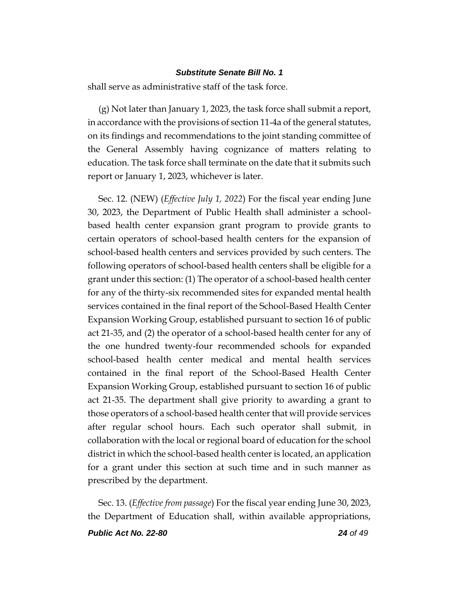shall serve as administrative staff of the task force.

(g) Not later than January 1, 2023, the task force shall submit a report, in accordance with the provisions of section 11-4a of the general statutes, on its findings and recommendations to the joint standing committee of the General Assembly having cognizance of matters relating to education. The task force shall terminate on the date that it submits such report or January 1, 2023, whichever is later.

Sec. 12. (NEW) (*Effective July 1, 2022*) For the fiscal year ending June 30, 2023, the Department of Public Health shall administer a schoolbased health center expansion grant program to provide grants to certain operators of school-based health centers for the expansion of school-based health centers and services provided by such centers. The following operators of school-based health centers shall be eligible for a grant under this section: (1) The operator of a school-based health center for any of the thirty-six recommended sites for expanded mental health services contained in the final report of the School-Based Health Center Expansion Working Group, established pursuant to section 16 of public act 21-35, and (2) the operator of a school-based health center for any of the one hundred twenty-four recommended schools for expanded school-based health center medical and mental health services contained in the final report of the School-Based Health Center Expansion Working Group, established pursuant to section 16 of public act 21-35. The department shall give priority to awarding a grant to those operators of a school-based health center that will provide services after regular school hours. Each such operator shall submit, in collaboration with the local or regional board of education for the school district in which the school-based health center is located, an application for a grant under this section at such time and in such manner as prescribed by the department.

Sec. 13. (*Effective from passage*) For the fiscal year ending June 30, 2023, the Department of Education shall, within available appropriations,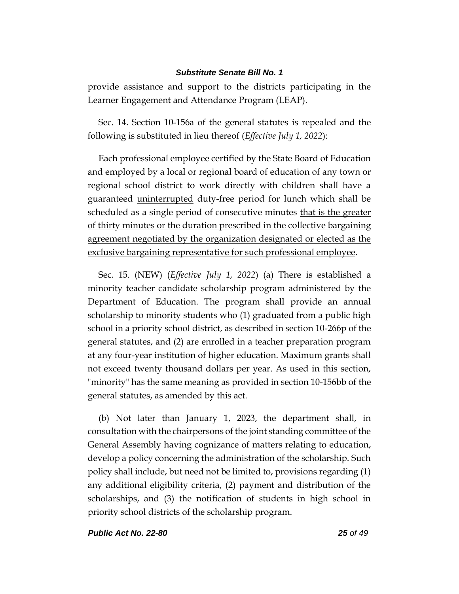provide assistance and support to the districts participating in the Learner Engagement and Attendance Program (LEAP).

Sec. 14. Section 10-156a of the general statutes is repealed and the following is substituted in lieu thereof (*Effective July 1, 2022*):

Each professional employee certified by the State Board of Education and employed by a local or regional board of education of any town or regional school district to work directly with children shall have a guaranteed uninterrupted duty-free period for lunch which shall be scheduled as a single period of consecutive minutes that is the greater of thirty minutes or the duration prescribed in the collective bargaining agreement negotiated by the organization designated or elected as the exclusive bargaining representative for such professional employee.

Sec. 15. (NEW) (*Effective July 1, 2022*) (a) There is established a minority teacher candidate scholarship program administered by the Department of Education. The program shall provide an annual scholarship to minority students who (1) graduated from a public high school in a priority school district, as described in section 10-266p of the general statutes, and (2) are enrolled in a teacher preparation program at any four-year institution of higher education. Maximum grants shall not exceed twenty thousand dollars per year. As used in this section, "minority" has the same meaning as provided in section 10-156bb of the general statutes, as amended by this act.

(b) Not later than January 1, 2023, the department shall, in consultation with the chairpersons of the joint standing committee of the General Assembly having cognizance of matters relating to education, develop a policy concerning the administration of the scholarship. Such policy shall include, but need not be limited to, provisions regarding (1) any additional eligibility criteria, (2) payment and distribution of the scholarships, and (3) the notification of students in high school in priority school districts of the scholarship program.

*Public Act No. 22-80 25 of 49*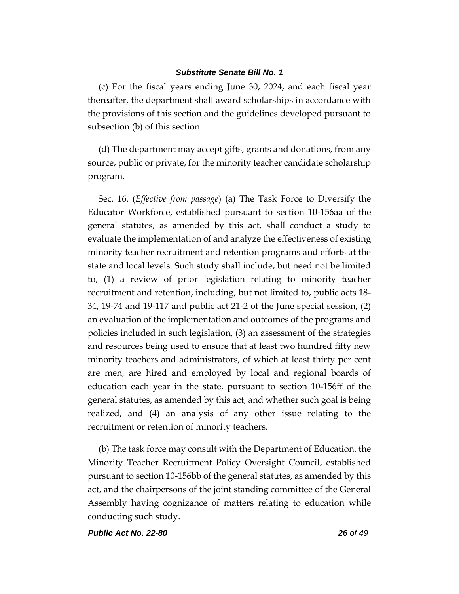(c) For the fiscal years ending June 30, 2024, and each fiscal year thereafter, the department shall award scholarships in accordance with the provisions of this section and the guidelines developed pursuant to subsection (b) of this section.

(d) The department may accept gifts, grants and donations, from any source, public or private, for the minority teacher candidate scholarship program.

Sec. 16. (*Effective from passage*) (a) The Task Force to Diversify the Educator Workforce, established pursuant to section 10-156aa of the general statutes, as amended by this act, shall conduct a study to evaluate the implementation of and analyze the effectiveness of existing minority teacher recruitment and retention programs and efforts at the state and local levels. Such study shall include, but need not be limited to, (1) a review of prior legislation relating to minority teacher recruitment and retention, including, but not limited to, public acts 18- 34, 19-74 and 19-117 and public act 21-2 of the June special session, (2) an evaluation of the implementation and outcomes of the programs and policies included in such legislation, (3) an assessment of the strategies and resources being used to ensure that at least two hundred fifty new minority teachers and administrators, of which at least thirty per cent are men, are hired and employed by local and regional boards of education each year in the state, pursuant to section 10-156ff of the general statutes, as amended by this act, and whether such goal is being realized, and (4) an analysis of any other issue relating to the recruitment or retention of minority teachers.

(b) The task force may consult with the Department of Education, the Minority Teacher Recruitment Policy Oversight Council, established pursuant to section 10-156bb of the general statutes, as amended by this act, and the chairpersons of the joint standing committee of the General Assembly having cognizance of matters relating to education while conducting such study.

*Public Act No. 22-80 26 of 49*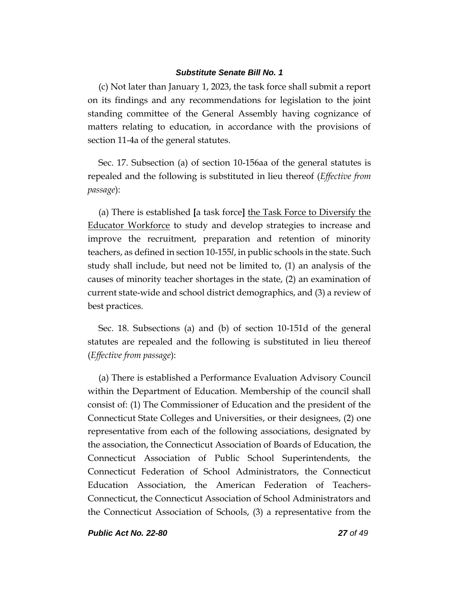(c) Not later than January 1, 2023, the task force shall submit a report on its findings and any recommendations for legislation to the joint standing committee of the General Assembly having cognizance of matters relating to education, in accordance with the provisions of section 11-4a of the general statutes.

Sec. 17. Subsection (a) of section 10-156aa of the general statutes is repealed and the following is substituted in lieu thereof (*Effective from passage*):

(a) There is established **[**a task force**]** the Task Force to Diversify the Educator Workforce to study and develop strategies to increase and improve the recruitment, preparation and retention of minority teachers, as defined in section 10-155*l*, in public schools in the state. Such study shall include, but need not be limited to, (1) an analysis of the causes of minority teacher shortages in the state, (2) an examination of current state-wide and school district demographics, and (3) a review of best practices.

Sec. 18. Subsections (a) and (b) of section 10-151d of the general statutes are repealed and the following is substituted in lieu thereof (*Effective from passage*):

(a) There is established a Performance Evaluation Advisory Council within the Department of Education. Membership of the council shall consist of: (1) The Commissioner of Education and the president of the Connecticut State Colleges and Universities, or their designees, (2) one representative from each of the following associations, designated by the association, the Connecticut Association of Boards of Education, the Connecticut Association of Public School Superintendents, the Connecticut Federation of School Administrators, the Connecticut Education Association, the American Federation of Teachers-Connecticut, the Connecticut Association of School Administrators and the Connecticut Association of Schools, (3) a representative from the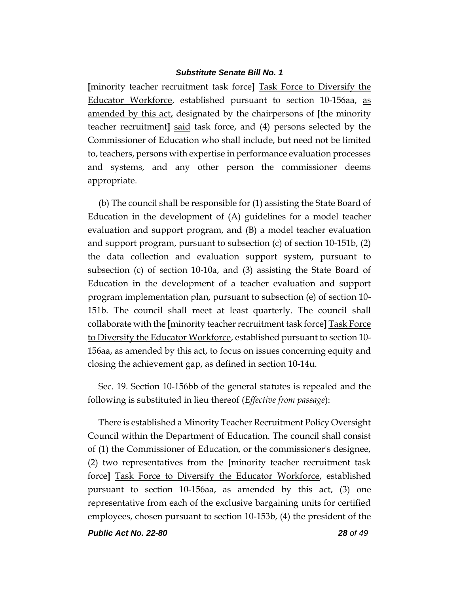**[**minority teacher recruitment task force**]** Task Force to Diversify the Educator Workforce, established pursuant to section 10-156aa, as amended by this act, designated by the chairpersons of **[**the minority teacher recruitment**]** said task force, and (4) persons selected by the Commissioner of Education who shall include, but need not be limited to, teachers, persons with expertise in performance evaluation processes and systems, and any other person the commissioner deems appropriate.

(b) The council shall be responsible for (1) assisting the State Board of Education in the development of (A) guidelines for a model teacher evaluation and support program, and (B) a model teacher evaluation and support program, pursuant to subsection (c) of section 10-151b, (2) the data collection and evaluation support system, pursuant to subsection (c) of section 10-10a, and (3) assisting the State Board of Education in the development of a teacher evaluation and support program implementation plan, pursuant to subsection (e) of section 10- 151b. The council shall meet at least quarterly. The council shall collaborate with the **[**minority teacher recruitment task force**]** Task Force to Diversify the Educator Workforce, established pursuant to section 10- 156aa, as amended by this act, to focus on issues concerning equity and closing the achievement gap, as defined in section 10-14u.

Sec. 19. Section 10-156bb of the general statutes is repealed and the following is substituted in lieu thereof (*Effective from passage*):

There is established a Minority Teacher Recruitment Policy Oversight Council within the Department of Education. The council shall consist of (1) the Commissioner of Education, or the commissioner's designee, (2) two representatives from the **[**minority teacher recruitment task force**]** Task Force to Diversify the Educator Workforce, established pursuant to section 10-156aa, as amended by this  $act_{\ell}$  (3) one representative from each of the exclusive bargaining units for certified employees, chosen pursuant to section 10-153b, (4) the president of the

*Public Act No. 22-80 28 of 49*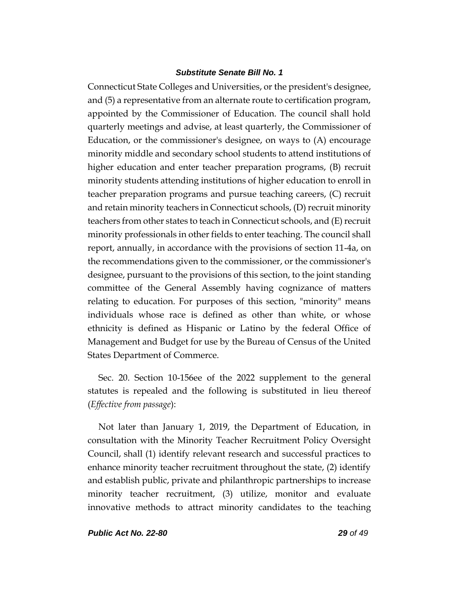Connecticut State Colleges and Universities, or the president's designee, and (5) a representative from an alternate route to certification program, appointed by the Commissioner of Education. The council shall hold quarterly meetings and advise, at least quarterly, the Commissioner of Education, or the commissioner's designee, on ways to (A) encourage minority middle and secondary school students to attend institutions of higher education and enter teacher preparation programs, (B) recruit minority students attending institutions of higher education to enroll in teacher preparation programs and pursue teaching careers, (C) recruit and retain minority teachers in Connecticut schools, (D) recruit minority teachers from other states to teach in Connecticut schools, and (E) recruit minority professionals in other fields to enter teaching. The council shall report, annually, in accordance with the provisions of section 11-4a, on the recommendations given to the commissioner, or the commissioner's designee, pursuant to the provisions of this section, to the joint standing committee of the General Assembly having cognizance of matters relating to education. For purposes of this section, "minority" means individuals whose race is defined as other than white, or whose ethnicity is defined as Hispanic or Latino by the federal Office of Management and Budget for use by the Bureau of Census of the United States Department of Commerce.

Sec. 20. Section 10-156ee of the 2022 supplement to the general statutes is repealed and the following is substituted in lieu thereof (*Effective from passage*):

Not later than January 1, 2019, the Department of Education, in consultation with the Minority Teacher Recruitment Policy Oversight Council, shall (1) identify relevant research and successful practices to enhance minority teacher recruitment throughout the state, (2) identify and establish public, private and philanthropic partnerships to increase minority teacher recruitment, (3) utilize, monitor and evaluate innovative methods to attract minority candidates to the teaching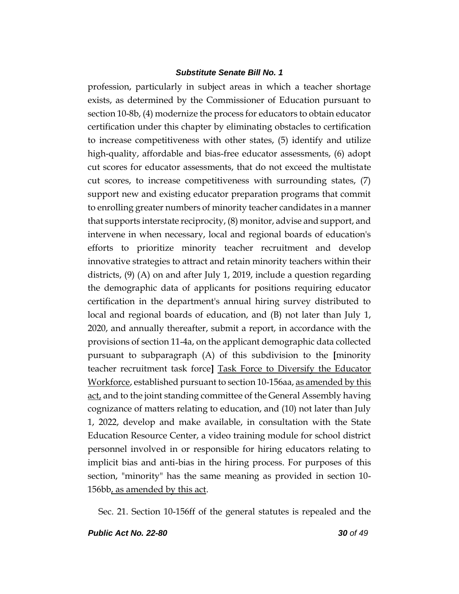profession, particularly in subject areas in which a teacher shortage exists, as determined by the Commissioner of Education pursuant to section 10-8b, (4) modernize the process for educators to obtain educator certification under this chapter by eliminating obstacles to certification to increase competitiveness with other states, (5) identify and utilize high-quality, affordable and bias-free educator assessments, (6) adopt cut scores for educator assessments, that do not exceed the multistate cut scores, to increase competitiveness with surrounding states, (7) support new and existing educator preparation programs that commit to enrolling greater numbers of minority teacher candidates in a manner that supports interstate reciprocity, (8) monitor, advise and support, and intervene in when necessary, local and regional boards of education's efforts to prioritize minority teacher recruitment and develop innovative strategies to attract and retain minority teachers within their districts, (9) (A) on and after July 1, 2019, include a question regarding the demographic data of applicants for positions requiring educator certification in the department's annual hiring survey distributed to local and regional boards of education, and (B) not later than July 1, 2020, and annually thereafter, submit a report, in accordance with the provisions of section 11-4a, on the applicant demographic data collected pursuant to subparagraph (A) of this subdivision to the **[**minority teacher recruitment task force**]** Task Force to Diversify the Educator Workforce, established pursuant to section 10-156aa, as amended by this act, and to the joint standing committee of the General Assembly having cognizance of matters relating to education, and (10) not later than July 1, 2022, develop and make available, in consultation with the State Education Resource Center, a video training module for school district personnel involved in or responsible for hiring educators relating to implicit bias and anti-bias in the hiring process. For purposes of this section, "minority" has the same meaning as provided in section 10- 156bb, as amended by this act.

Sec. 21. Section 10-156ff of the general statutes is repealed and the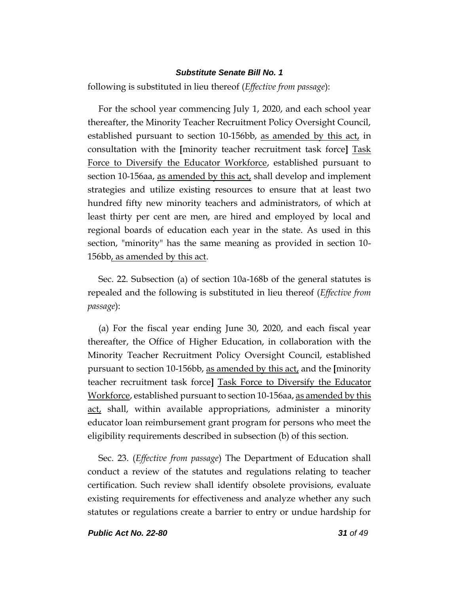following is substituted in lieu thereof (*Effective from passage*):

For the school year commencing July 1, 2020, and each school year thereafter, the Minority Teacher Recruitment Policy Oversight Council, established pursuant to section 10-156bb, as amended by this act, in consultation with the **[**minority teacher recruitment task force**]** Task Force to Diversify the Educator Workforce, established pursuant to section 10-156aa, as amended by this act, shall develop and implement strategies and utilize existing resources to ensure that at least two hundred fifty new minority teachers and administrators, of which at least thirty per cent are men, are hired and employed by local and regional boards of education each year in the state. As used in this section, "minority" has the same meaning as provided in section 10- 156bb, as amended by this act.

Sec. 22. Subsection (a) of section 10a-168b of the general statutes is repealed and the following is substituted in lieu thereof (*Effective from passage*):

(a) For the fiscal year ending June 30, 2020, and each fiscal year thereafter, the Office of Higher Education, in collaboration with the Minority Teacher Recruitment Policy Oversight Council, established pursuant to section 10-156bb, as amended by this act, and the **[**minority teacher recruitment task force**]** Task Force to Diversify the Educator Workforce, established pursuant to section 10-156aa, as amended by this act, shall, within available appropriations, administer a minority educator loan reimbursement grant program for persons who meet the eligibility requirements described in subsection (b) of this section.

Sec. 23. (*Effective from passage*) The Department of Education shall conduct a review of the statutes and regulations relating to teacher certification. Such review shall identify obsolete provisions, evaluate existing requirements for effectiveness and analyze whether any such statutes or regulations create a barrier to entry or undue hardship for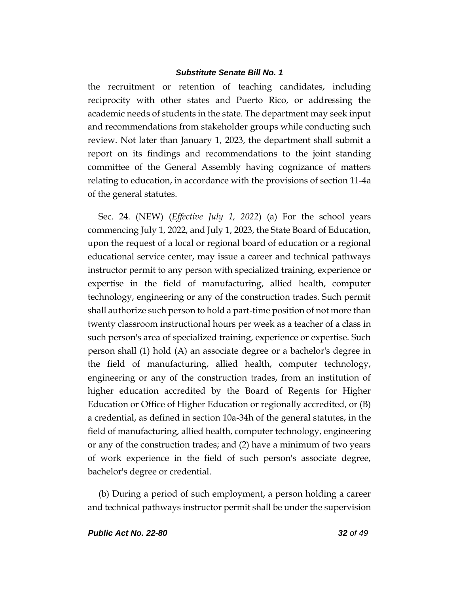the recruitment or retention of teaching candidates, including reciprocity with other states and Puerto Rico, or addressing the academic needs of students in the state. The department may seek input and recommendations from stakeholder groups while conducting such review. Not later than January 1, 2023, the department shall submit a report on its findings and recommendations to the joint standing committee of the General Assembly having cognizance of matters relating to education, in accordance with the provisions of section 11-4a of the general statutes.

Sec. 24. (NEW) (*Effective July 1, 2022*) (a) For the school years commencing July 1, 2022, and July 1, 2023, the State Board of Education, upon the request of a local or regional board of education or a regional educational service center, may issue a career and technical pathways instructor permit to any person with specialized training, experience or expertise in the field of manufacturing, allied health, computer technology, engineering or any of the construction trades. Such permit shall authorize such person to hold a part-time position of not more than twenty classroom instructional hours per week as a teacher of a class in such person's area of specialized training, experience or expertise. Such person shall (1) hold (A) an associate degree or a bachelor's degree in the field of manufacturing, allied health, computer technology, engineering or any of the construction trades, from an institution of higher education accredited by the Board of Regents for Higher Education or Office of Higher Education or regionally accredited, or (B) a credential, as defined in section 10a-34h of the general statutes, in the field of manufacturing, allied health, computer technology, engineering or any of the construction trades; and (2) have a minimum of two years of work experience in the field of such person's associate degree, bachelor's degree or credential.

(b) During a period of such employment, a person holding a career and technical pathways instructor permit shall be under the supervision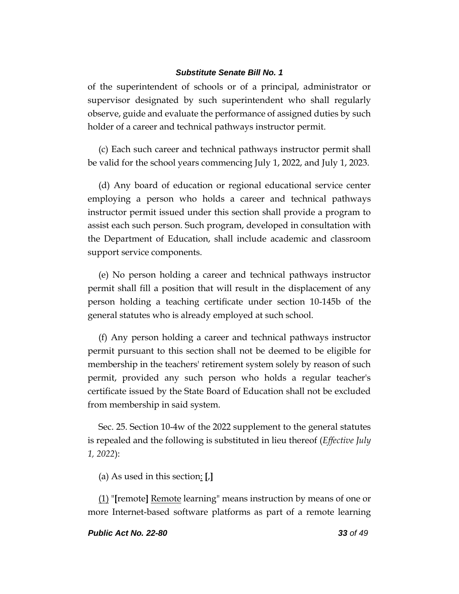of the superintendent of schools or of a principal, administrator or supervisor designated by such superintendent who shall regularly observe, guide and evaluate the performance of assigned duties by such holder of a career and technical pathways instructor permit.

(c) Each such career and technical pathways instructor permit shall be valid for the school years commencing July 1, 2022, and July 1, 2023.

(d) Any board of education or regional educational service center employing a person who holds a career and technical pathways instructor permit issued under this section shall provide a program to assist each such person. Such program, developed in consultation with the Department of Education, shall include academic and classroom support service components.

(e) No person holding a career and technical pathways instructor permit shall fill a position that will result in the displacement of any person holding a teaching certificate under section 10-145b of the general statutes who is already employed at such school.

(f) Any person holding a career and technical pathways instructor permit pursuant to this section shall not be deemed to be eligible for membership in the teachers' retirement system solely by reason of such permit, provided any such person who holds a regular teacher's certificate issued by the State Board of Education shall not be excluded from membership in said system.

Sec. 25. Section 10-4w of the 2022 supplement to the general statutes is repealed and the following is substituted in lieu thereof (*Effective July 1, 2022*):

(a) As used in this section: **[**,**]**

(1) "**[**remote**]** Remote learning" means instruction by means of one or more Internet-based software platforms as part of a remote learning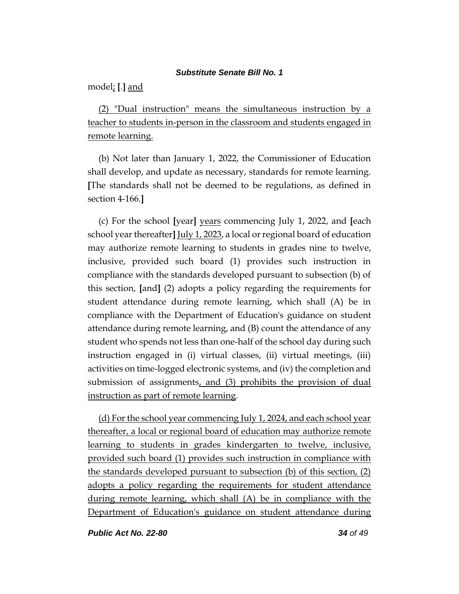model; **[**.**]** and

(2) "Dual instruction" means the simultaneous instruction by a teacher to students in-person in the classroom and students engaged in remote learning.

(b) Not later than January 1, 2022, the Commissioner of Education shall develop, and update as necessary, standards for remote learning. **[**The standards shall not be deemed to be regulations, as defined in section 4-166.**]**

(c) For the school **[**year**]** years commencing July 1, 2022, and **[**each school year thereafter**]** July 1, 2023, a local or regional board of education may authorize remote learning to students in grades nine to twelve, inclusive, provided such board (1) provides such instruction in compliance with the standards developed pursuant to subsection (b) of this section, **[**and**]** (2) adopts a policy regarding the requirements for student attendance during remote learning, which shall (A) be in compliance with the Department of Education's guidance on student attendance during remote learning, and (B) count the attendance of any student who spends not less than one-half of the school day during such instruction engaged in (i) virtual classes, (ii) virtual meetings, (iii) activities on time-logged electronic systems, and (iv) the completion and submission of assignments, and (3) prohibits the provision of dual instruction as part of remote learning.

(d) For the school year commencing July 1, 2024, and each school year thereafter, a local or regional board of education may authorize remote learning to students in grades kindergarten to twelve, inclusive, provided such board (1) provides such instruction in compliance with the standards developed pursuant to subsection (b) of this section, (2) adopts a policy regarding the requirements for student attendance during remote learning, which shall (A) be in compliance with the Department of Education's guidance on student attendance during

*Public Act No. 22-80 34 of 49*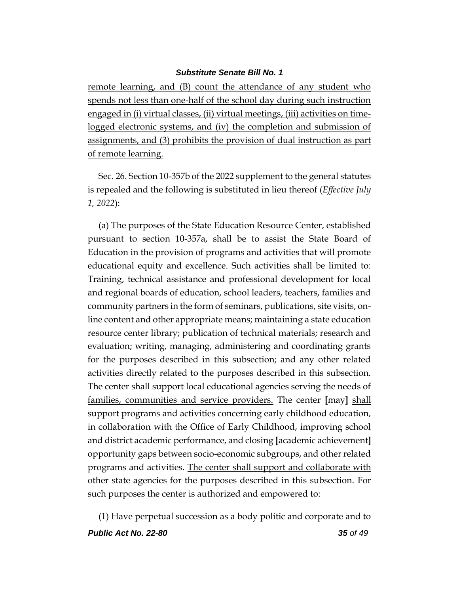remote learning, and (B) count the attendance of any student who spends not less than one-half of the school day during such instruction engaged in (i) virtual classes, (ii) virtual meetings, (iii) activities on timelogged electronic systems, and (iv) the completion and submission of assignments, and (3) prohibits the provision of dual instruction as part of remote learning.

Sec. 26. Section 10-357b of the 2022 supplement to the general statutes is repealed and the following is substituted in lieu thereof (*Effective July 1, 2022*):

(a) The purposes of the State Education Resource Center, established pursuant to section 10-357a, shall be to assist the State Board of Education in the provision of programs and activities that will promote educational equity and excellence. Such activities shall be limited to: Training, technical assistance and professional development for local and regional boards of education, school leaders, teachers, families and community partners in the form of seminars, publications, site visits, online content and other appropriate means; maintaining a state education resource center library; publication of technical materials; research and evaluation; writing, managing, administering and coordinating grants for the purposes described in this subsection; and any other related activities directly related to the purposes described in this subsection. The center shall support local educational agencies serving the needs of families, communities and service providers. The center **[**may**]** shall support programs and activities concerning early childhood education, in collaboration with the Office of Early Childhood, improving school and district academic performance, and closing **[**academic achievement**]** opportunity gaps between socio-economic subgroups, and other related programs and activities. The center shall support and collaborate with other state agencies for the purposes described in this subsection. For such purposes the center is authorized and empowered to:

*Public Act No. 22-80 35 of 49* (1) Have perpetual succession as a body politic and corporate and to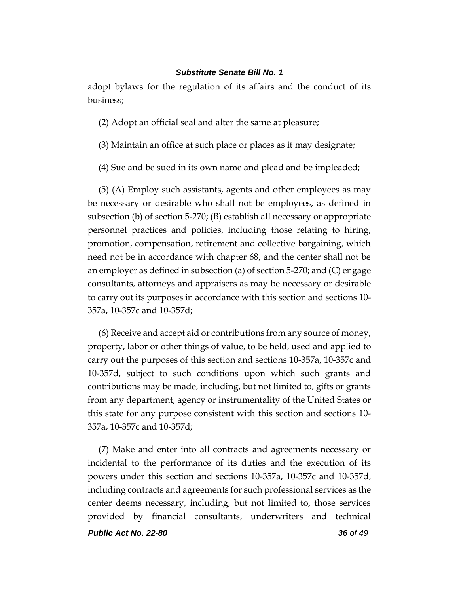adopt bylaws for the regulation of its affairs and the conduct of its business;

(2) Adopt an official seal and alter the same at pleasure;

(3) Maintain an office at such place or places as it may designate;

(4) Sue and be sued in its own name and plead and be impleaded;

(5) (A) Employ such assistants, agents and other employees as may be necessary or desirable who shall not be employees, as defined in subsection (b) of section 5-270; (B) establish all necessary or appropriate personnel practices and policies, including those relating to hiring, promotion, compensation, retirement and collective bargaining, which need not be in accordance with chapter 68, and the center shall not be an employer as defined in subsection (a) of section 5-270; and (C) engage consultants, attorneys and appraisers as may be necessary or desirable to carry out its purposes in accordance with this section and sections 10- 357a, 10-357c and 10-357d;

(6) Receive and accept aid or contributions from any source of money, property, labor or other things of value, to be held, used and applied to carry out the purposes of this section and sections 10-357a, 10-357c and 10-357d, subject to such conditions upon which such grants and contributions may be made, including, but not limited to, gifts or grants from any department, agency or instrumentality of the United States or this state for any purpose consistent with this section and sections 10- 357a, 10-357c and 10-357d;

(7) Make and enter into all contracts and agreements necessary or incidental to the performance of its duties and the execution of its powers under this section and sections 10-357a, 10-357c and 10-357d, including contracts and agreements for such professional services as the center deems necessary, including, but not limited to, those services provided by financial consultants, underwriters and technical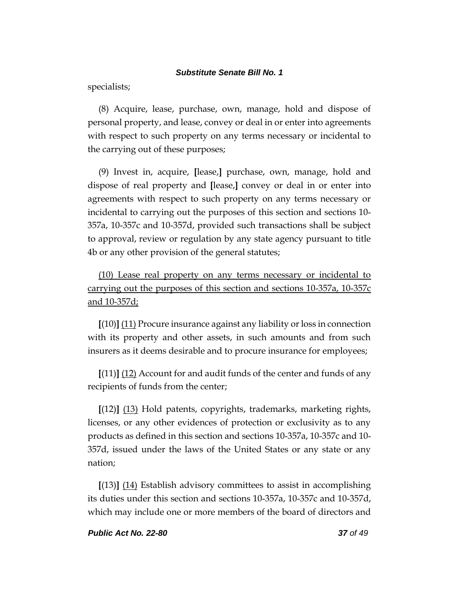specialists;

(8) Acquire, lease, purchase, own, manage, hold and dispose of personal property, and lease, convey or deal in or enter into agreements with respect to such property on any terms necessary or incidental to the carrying out of these purposes;

(9) Invest in, acquire, **[**lease,**]** purchase, own, manage, hold and dispose of real property and **[**lease,**]** convey or deal in or enter into agreements with respect to such property on any terms necessary or incidental to carrying out the purposes of this section and sections 10- 357a, 10-357c and 10-357d, provided such transactions shall be subject to approval, review or regulation by any state agency pursuant to title 4b or any other provision of the general statutes;

(10) Lease real property on any terms necessary or incidental to carrying out the purposes of this section and sections 10-357a, 10-357c and 10-357d;

**[**(10)**]** (11) Procure insurance against any liability or loss in connection with its property and other assets, in such amounts and from such insurers as it deems desirable and to procure insurance for employees;

**[**(11)**]** (12) Account for and audit funds of the center and funds of any recipients of funds from the center;

**[**(12)**]** (13) Hold patents, copyrights, trademarks, marketing rights, licenses, or any other evidences of protection or exclusivity as to any products as defined in this section and sections 10-357a, 10-357c and 10- 357d, issued under the laws of the United States or any state or any nation;

**[**(13)**]** (14) Establish advisory committees to assist in accomplishing its duties under this section and sections 10-357a, 10-357c and 10-357d, which may include one or more members of the board of directors and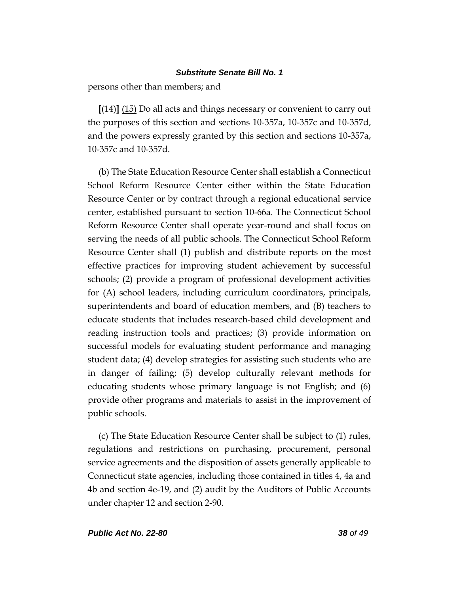persons other than members; and

**[**(14)**]** (15) Do all acts and things necessary or convenient to carry out the purposes of this section and sections 10-357a, 10-357c and 10-357d, and the powers expressly granted by this section and sections 10-357a, 10-357c and 10-357d.

(b) The State Education Resource Center shall establish a Connecticut School Reform Resource Center either within the State Education Resource Center or by contract through a regional educational service center, established pursuant to section 10-66a. The Connecticut School Reform Resource Center shall operate year-round and shall focus on serving the needs of all public schools. The Connecticut School Reform Resource Center shall (1) publish and distribute reports on the most effective practices for improving student achievement by successful schools; (2) provide a program of professional development activities for (A) school leaders, including curriculum coordinators, principals, superintendents and board of education members, and (B) teachers to educate students that includes research-based child development and reading instruction tools and practices; (3) provide information on successful models for evaluating student performance and managing student data; (4) develop strategies for assisting such students who are in danger of failing; (5) develop culturally relevant methods for educating students whose primary language is not English; and (6) provide other programs and materials to assist in the improvement of public schools.

(c) The State Education Resource Center shall be subject to (1) rules, regulations and restrictions on purchasing, procurement, personal service agreements and the disposition of assets generally applicable to Connecticut state agencies, including those contained in titles 4, 4a and 4b and section 4e-19, and (2) audit by the Auditors of Public Accounts under chapter 12 and section 2-90.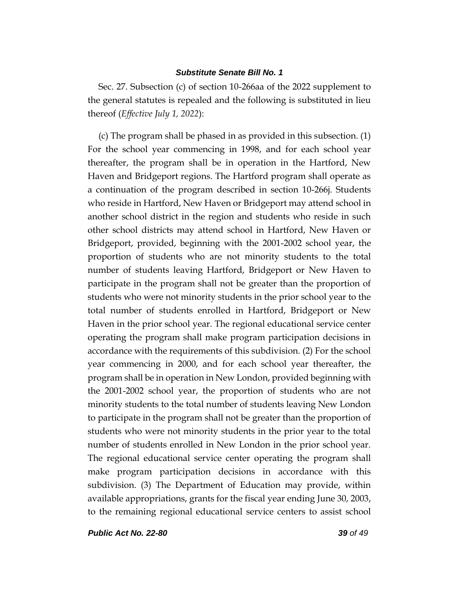Sec. 27. Subsection (c) of section 10-266aa of the 2022 supplement to the general statutes is repealed and the following is substituted in lieu thereof (*Effective July 1, 2022*):

(c) The program shall be phased in as provided in this subsection. (1) For the school year commencing in 1998, and for each school year thereafter, the program shall be in operation in the Hartford, New Haven and Bridgeport regions. The Hartford program shall operate as a continuation of the program described in section 10-266j. Students who reside in Hartford, New Haven or Bridgeport may attend school in another school district in the region and students who reside in such other school districts may attend school in Hartford, New Haven or Bridgeport, provided, beginning with the 2001-2002 school year, the proportion of students who are not minority students to the total number of students leaving Hartford, Bridgeport or New Haven to participate in the program shall not be greater than the proportion of students who were not minority students in the prior school year to the total number of students enrolled in Hartford, Bridgeport or New Haven in the prior school year. The regional educational service center operating the program shall make program participation decisions in accordance with the requirements of this subdivision. (2) For the school year commencing in 2000, and for each school year thereafter, the program shall be in operation in New London, provided beginning with the 2001-2002 school year, the proportion of students who are not minority students to the total number of students leaving New London to participate in the program shall not be greater than the proportion of students who were not minority students in the prior year to the total number of students enrolled in New London in the prior school year. The regional educational service center operating the program shall make program participation decisions in accordance with this subdivision. (3) The Department of Education may provide, within available appropriations, grants for the fiscal year ending June 30, 2003, to the remaining regional educational service centers to assist school

*Public Act No. 22-80 39 of 49*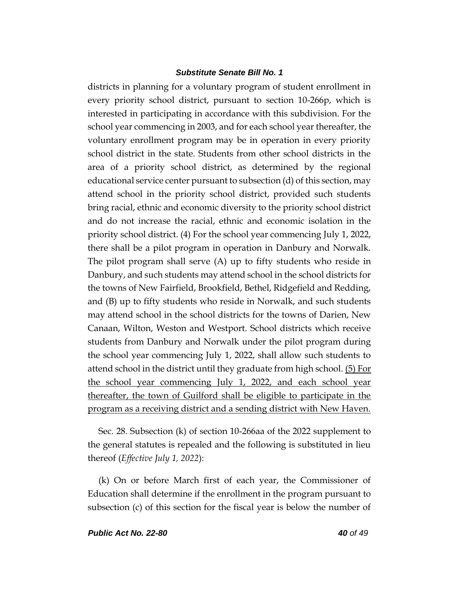districts in planning for a voluntary program of student enrollment in every priority school district, pursuant to section 10-266p, which is interested in participating in accordance with this subdivision. For the school year commencing in 2003, and for each school year thereafter, the voluntary enrollment program may be in operation in every priority school district in the state. Students from other school districts in the area of a priority school district, as determined by the regional educational service center pursuant to subsection (d) of this section, may attend school in the priority school district, provided such students bring racial, ethnic and economic diversity to the priority school district and do not increase the racial, ethnic and economic isolation in the priority school district. (4) For the school year commencing July 1, 2022, there shall be a pilot program in operation in Danbury and Norwalk. The pilot program shall serve (A) up to fifty students who reside in Danbury, and such students may attend school in the school districts for the towns of New Fairfield, Brookfield, Bethel, Ridgefield and Redding, and (B) up to fifty students who reside in Norwalk, and such students may attend school in the school districts for the towns of Darien, New Canaan, Wilton, Weston and Westport. School districts which receive students from Danbury and Norwalk under the pilot program during the school year commencing July 1, 2022, shall allow such students to attend school in the district until they graduate from high school.  $(5)$  For the school year commencing July 1, 2022, and each school year thereafter, the town of Guilford shall be eligible to participate in the program as a receiving district and a sending district with New Haven.

Sec. 28. Subsection (k) of section 10-266aa of the 2022 supplement to the general statutes is repealed and the following is substituted in lieu thereof (*Effective July 1, 2022*):

(k) On or before March first of each year, the Commissioner of Education shall determine if the enrollment in the program pursuant to subsection (c) of this section for the fiscal year is below the number of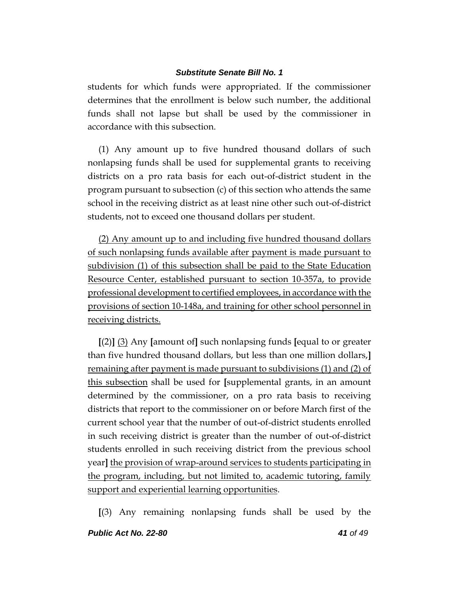students for which funds were appropriated. If the commissioner determines that the enrollment is below such number, the additional funds shall not lapse but shall be used by the commissioner in accordance with this subsection.

(1) Any amount up to five hundred thousand dollars of such nonlapsing funds shall be used for supplemental grants to receiving districts on a pro rata basis for each out-of-district student in the program pursuant to subsection (c) of this section who attends the same school in the receiving district as at least nine other such out-of-district students, not to exceed one thousand dollars per student.

(2) Any amount up to and including five hundred thousand dollars of such nonlapsing funds available after payment is made pursuant to subdivision (1) of this subsection shall be paid to the State Education Resource Center, established pursuant to section 10-357a, to provide professional development to certified employees, in accordance with the provisions of section 10-148a, and training for other school personnel in receiving districts.

**[**(2)**]** (3) Any **[**amount of**]** such nonlapsing funds **[**equal to or greater than five hundred thousand dollars, but less than one million dollars,**]** remaining after payment is made pursuant to subdivisions (1) and (2) of this subsection shall be used for **[**supplemental grants, in an amount determined by the commissioner, on a pro rata basis to receiving districts that report to the commissioner on or before March first of the current school year that the number of out-of-district students enrolled in such receiving district is greater than the number of out-of-district students enrolled in such receiving district from the previous school year**]** the provision of wrap-around services to students participating in the program, including, but not limited to, academic tutoring, family support and experiential learning opportunities.

**[**(3) Any remaining nonlapsing funds shall be used by the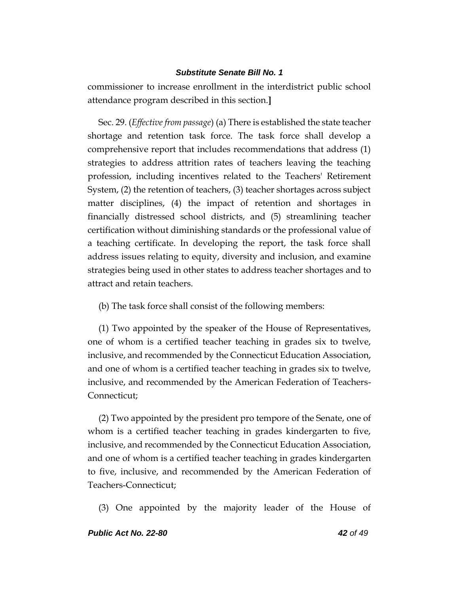commissioner to increase enrollment in the interdistrict public school attendance program described in this section.**]**

Sec. 29. (*Effective from passage*) (a) There is established the state teacher shortage and retention task force. The task force shall develop a comprehensive report that includes recommendations that address (1) strategies to address attrition rates of teachers leaving the teaching profession, including incentives related to the Teachers' Retirement System, (2) the retention of teachers, (3) teacher shortages across subject matter disciplines, (4) the impact of retention and shortages in financially distressed school districts, and (5) streamlining teacher certification without diminishing standards or the professional value of a teaching certificate. In developing the report, the task force shall address issues relating to equity, diversity and inclusion, and examine strategies being used in other states to address teacher shortages and to attract and retain teachers.

(b) The task force shall consist of the following members:

(1) Two appointed by the speaker of the House of Representatives, one of whom is a certified teacher teaching in grades six to twelve, inclusive, and recommended by the Connecticut Education Association, and one of whom is a certified teacher teaching in grades six to twelve, inclusive, and recommended by the American Federation of Teachers-Connecticut;

(2) Two appointed by the president pro tempore of the Senate, one of whom is a certified teacher teaching in grades kindergarten to five, inclusive, and recommended by the Connecticut Education Association, and one of whom is a certified teacher teaching in grades kindergarten to five, inclusive, and recommended by the American Federation of Teachers-Connecticut;

(3) One appointed by the majority leader of the House of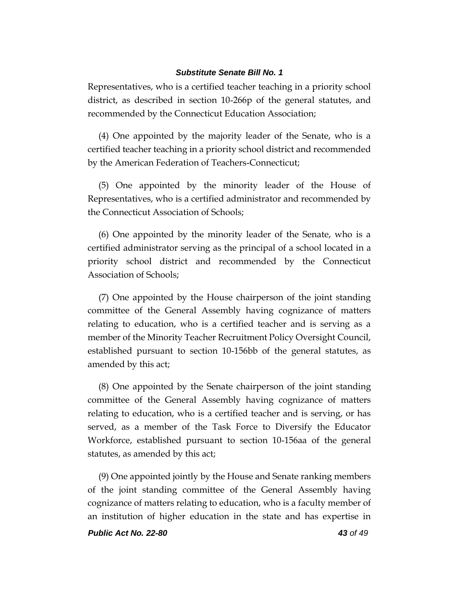Representatives, who is a certified teacher teaching in a priority school district, as described in section 10-266p of the general statutes, and recommended by the Connecticut Education Association;

(4) One appointed by the majority leader of the Senate, who is a certified teacher teaching in a priority school district and recommended by the American Federation of Teachers-Connecticut;

(5) One appointed by the minority leader of the House of Representatives, who is a certified administrator and recommended by the Connecticut Association of Schools;

(6) One appointed by the minority leader of the Senate, who is a certified administrator serving as the principal of a school located in a priority school district and recommended by the Connecticut Association of Schools;

(7) One appointed by the House chairperson of the joint standing committee of the General Assembly having cognizance of matters relating to education, who is a certified teacher and is serving as a member of the Minority Teacher Recruitment Policy Oversight Council, established pursuant to section 10-156bb of the general statutes, as amended by this act;

(8) One appointed by the Senate chairperson of the joint standing committee of the General Assembly having cognizance of matters relating to education, who is a certified teacher and is serving, or has served, as a member of the Task Force to Diversify the Educator Workforce, established pursuant to section 10-156aa of the general statutes, as amended by this act;

(9) One appointed jointly by the House and Senate ranking members of the joint standing committee of the General Assembly having cognizance of matters relating to education, who is a faculty member of an institution of higher education in the state and has expertise in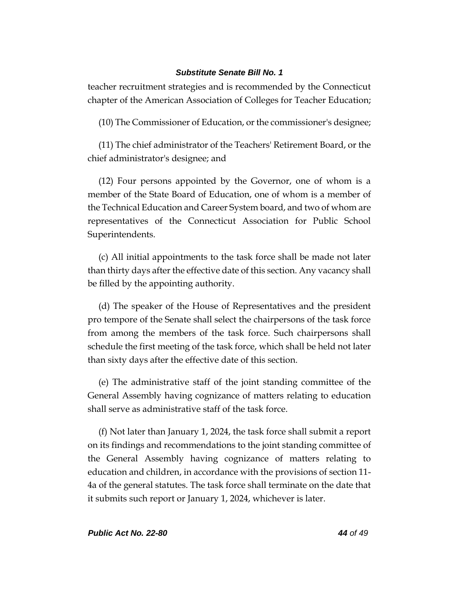teacher recruitment strategies and is recommended by the Connecticut chapter of the American Association of Colleges for Teacher Education;

(10) The Commissioner of Education, or the commissioner's designee;

(11) The chief administrator of the Teachers' Retirement Board, or the chief administrator's designee; and

(12) Four persons appointed by the Governor, one of whom is a member of the State Board of Education, one of whom is a member of the Technical Education and Career System board, and two of whom are representatives of the Connecticut Association for Public School Superintendents.

(c) All initial appointments to the task force shall be made not later than thirty days after the effective date of this section. Any vacancy shall be filled by the appointing authority.

(d) The speaker of the House of Representatives and the president pro tempore of the Senate shall select the chairpersons of the task force from among the members of the task force. Such chairpersons shall schedule the first meeting of the task force, which shall be held not later than sixty days after the effective date of this section.

(e) The administrative staff of the joint standing committee of the General Assembly having cognizance of matters relating to education shall serve as administrative staff of the task force.

(f) Not later than January 1, 2024, the task force shall submit a report on its findings and recommendations to the joint standing committee of the General Assembly having cognizance of matters relating to education and children, in accordance with the provisions of section 11- 4a of the general statutes. The task force shall terminate on the date that it submits such report or January 1, 2024, whichever is later.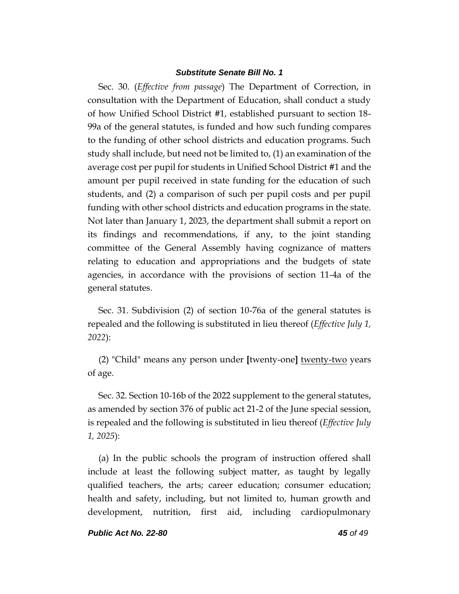Sec. 30. (*Effective from passage*) The Department of Correction, in consultation with the Department of Education, shall conduct a study of how Unified School District #1, established pursuant to section 18- 99a of the general statutes, is funded and how such funding compares to the funding of other school districts and education programs. Such study shall include, but need not be limited to, (1) an examination of the average cost per pupil for students in Unified School District #1 and the amount per pupil received in state funding for the education of such students, and (2) a comparison of such per pupil costs and per pupil funding with other school districts and education programs in the state. Not later than January 1, 2023, the department shall submit a report on its findings and recommendations, if any, to the joint standing committee of the General Assembly having cognizance of matters relating to education and appropriations and the budgets of state agencies, in accordance with the provisions of section 11-4a of the general statutes.

Sec. 31. Subdivision (2) of section 10-76a of the general statutes is repealed and the following is substituted in lieu thereof (*Effective July 1, 2022*):

(2) "Child" means any person under **[**twenty-one**]** twenty-two years of age.

Sec. 32. Section 10-16b of the 2022 supplement to the general statutes, as amended by section 376 of public act 21-2 of the June special session, is repealed and the following is substituted in lieu thereof (*Effective July 1, 2025*):

(a) In the public schools the program of instruction offered shall include at least the following subject matter, as taught by legally qualified teachers, the arts; career education; consumer education; health and safety, including, but not limited to, human growth and development, nutrition, first aid, including cardiopulmonary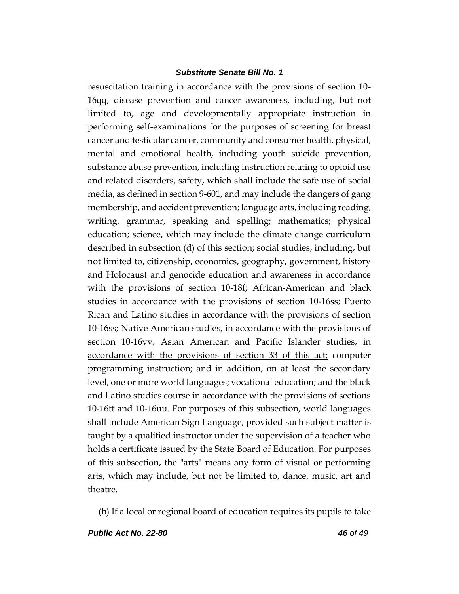resuscitation training in accordance with the provisions of section 10- 16qq, disease prevention and cancer awareness, including, but not limited to, age and developmentally appropriate instruction in performing self-examinations for the purposes of screening for breast cancer and testicular cancer, community and consumer health, physical, mental and emotional health, including youth suicide prevention, substance abuse prevention, including instruction relating to opioid use and related disorders, safety, which shall include the safe use of social media, as defined in section 9-601, and may include the dangers of gang membership, and accident prevention; language arts, including reading, writing, grammar, speaking and spelling; mathematics; physical education; science, which may include the climate change curriculum described in subsection (d) of this section; social studies, including, but not limited to, citizenship, economics, geography, government, history and Holocaust and genocide education and awareness in accordance with the provisions of section 10-18f; African-American and black studies in accordance with the provisions of section 10-16ss; Puerto Rican and Latino studies in accordance with the provisions of section 10-16ss; Native American studies, in accordance with the provisions of section 10-16vv; Asian American and Pacific Islander studies, in accordance with the provisions of section 33 of this act; computer programming instruction; and in addition, on at least the secondary level, one or more world languages; vocational education; and the black and Latino studies course in accordance with the provisions of sections 10-16tt and 10-16uu. For purposes of this subsection, world languages shall include American Sign Language, provided such subject matter is taught by a qualified instructor under the supervision of a teacher who holds a certificate issued by the State Board of Education. For purposes of this subsection, the "arts" means any form of visual or performing arts, which may include, but not be limited to, dance, music, art and theatre.

(b) If a local or regional board of education requires its pupils to take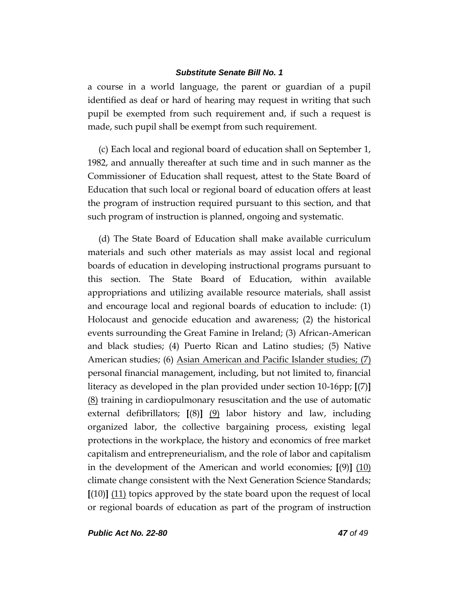a course in a world language, the parent or guardian of a pupil identified as deaf or hard of hearing may request in writing that such pupil be exempted from such requirement and, if such a request is made, such pupil shall be exempt from such requirement.

(c) Each local and regional board of education shall on September 1, 1982, and annually thereafter at such time and in such manner as the Commissioner of Education shall request, attest to the State Board of Education that such local or regional board of education offers at least the program of instruction required pursuant to this section, and that such program of instruction is planned, ongoing and systematic.

(d) The State Board of Education shall make available curriculum materials and such other materials as may assist local and regional boards of education in developing instructional programs pursuant to this section. The State Board of Education, within available appropriations and utilizing available resource materials, shall assist and encourage local and regional boards of education to include: (1) Holocaust and genocide education and awareness; (2) the historical events surrounding the Great Famine in Ireland; (3) African-American and black studies; (4) Puerto Rican and Latino studies; (5) Native American studies; (6) Asian American and Pacific Islander studies; (7) personal financial management, including, but not limited to, financial literacy as developed in the plan provided under section 10-16pp; **[**(7)**]** (8) training in cardiopulmonary resuscitation and the use of automatic external defibrillators; **[**(8)**]** (9) labor history and law, including organized labor, the collective bargaining process, existing legal protections in the workplace, the history and economics of free market capitalism and entrepreneurialism, and the role of labor and capitalism in the development of the American and world economies; **[**(9)**]** (10) climate change consistent with the Next Generation Science Standards; **[**(10)**]** (11) topics approved by the state board upon the request of local or regional boards of education as part of the program of instruction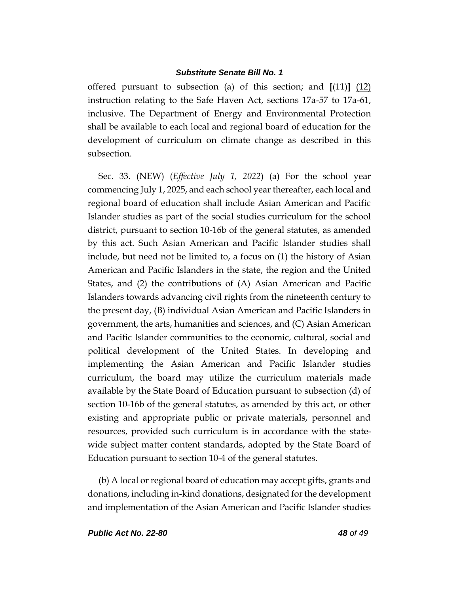offered pursuant to subsection (a) of this section; and **[**(11)**]** (12) instruction relating to the Safe Haven Act, sections 17a-57 to 17a-61, inclusive. The Department of Energy and Environmental Protection shall be available to each local and regional board of education for the development of curriculum on climate change as described in this subsection.

Sec. 33. (NEW) (*Effective July 1, 2022*) (a) For the school year commencing July 1, 2025, and each school year thereafter, each local and regional board of education shall include Asian American and Pacific Islander studies as part of the social studies curriculum for the school district, pursuant to section 10-16b of the general statutes, as amended by this act. Such Asian American and Pacific Islander studies shall include, but need not be limited to, a focus on (1) the history of Asian American and Pacific Islanders in the state, the region and the United States, and (2) the contributions of (A) Asian American and Pacific Islanders towards advancing civil rights from the nineteenth century to the present day, (B) individual Asian American and Pacific Islanders in government, the arts, humanities and sciences, and (C) Asian American and Pacific Islander communities to the economic, cultural, social and political development of the United States. In developing and implementing the Asian American and Pacific Islander studies curriculum, the board may utilize the curriculum materials made available by the State Board of Education pursuant to subsection (d) of section 10-16b of the general statutes, as amended by this act, or other existing and appropriate public or private materials, personnel and resources, provided such curriculum is in accordance with the statewide subject matter content standards, adopted by the State Board of Education pursuant to section 10-4 of the general statutes.

(b) A local or regional board of education may accept gifts, grants and donations, including in-kind donations, designated for the development and implementation of the Asian American and Pacific Islander studies